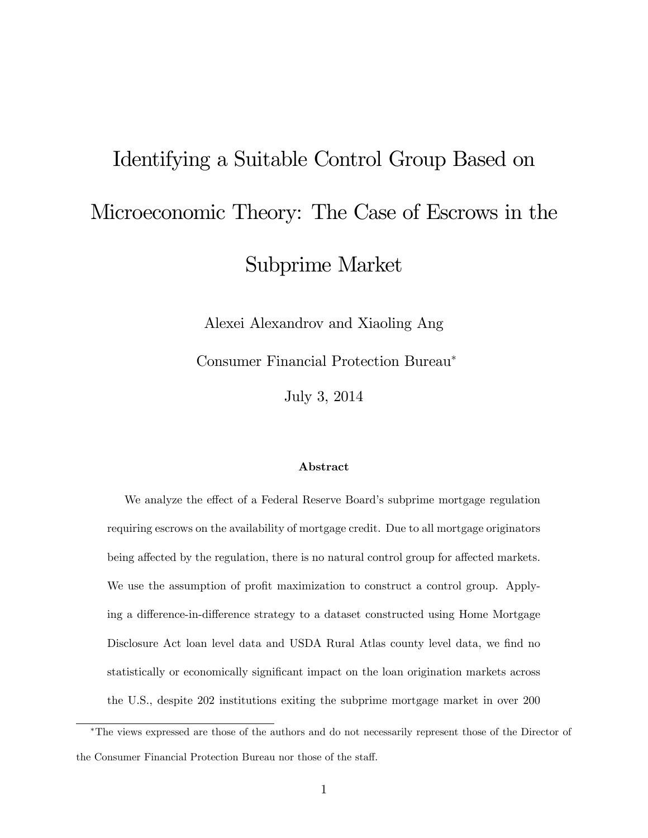# <span id="page-0-0"></span>Identifying a Suitable Control Group Based on Microeconomic Theory: The Case of Escrows in the Subprime Market

Alexei Alexandrov and Xiaoling Ang

Consumer Financial Protection Bureau

July 3, 2014

#### Abstract

We analyze the effect of a Federal Reserve Board's subprime mortgage regulation requiring escrows on the availability of mortgage credit. Due to all mortgage originators being affected by the regulation, there is no natural control group for affected markets. We use the assumption of profit maximization to construct a control group. Applying a difference-in-difference strategy to a dataset constructed using Home Mortgage Disclosure Act loan level data and USDA Rural Atlas county level data, we find no statistically or economically significant impact on the loan origination markets across the U.S., despite 202 institutions exiting the subprime mortgage market in over 200

The views expressed are those of the authors and do not necessarily represent those of the Director of the Consumer Financial Protection Bureau nor those of the staff.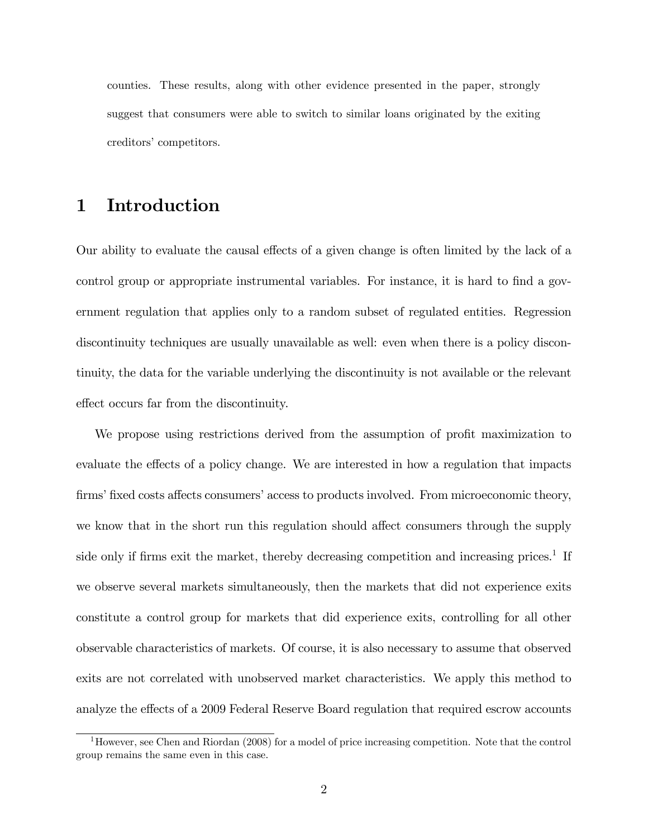counties. These results, along with other evidence presented in the paper, strongly suggest that consumers were able to switch to similar loans originated by the exiting creditors' competitors.

## 1 Introduction

Our ability to evaluate the causal effects of a given change is often limited by the lack of a control group or appropriate instrumental variables. For instance, it is hard to find a government regulation that applies only to a random subset of regulated entities. Regression discontinuity techniques are usually unavailable as well: even when there is a policy discontinuity, the data for the variable underlying the discontinuity is not available or the relevant effect occurs far from the discontinuity.

We propose using restrictions derived from the assumption of profit maximization to evaluate the effects of a policy change. We are interested in how a regulation that impacts firms' fixed costs affects consumers' access to products involved. From microeconomic theory, we know that in the short run this regulation should affect consumers through the supply side only if firms exit the market, thereby decreasing competition and increasing prices.<sup>[1](#page-0-0)</sup> If we observe several markets simultaneously, then the markets that did not experience exits constitute a control group for markets that did experience exits, controlling for all other observable characteristics of markets. Of course, it is also necessary to assume that observed exits are not correlated with unobserved market characteristics. We apply this method to analyze the effects of a 2009 Federal Reserve Board regulation that required escrow accounts

<sup>1</sup>However, see Chen and Riordan (2008) for a model of price increasing competition. Note that the control group remains the same even in this case.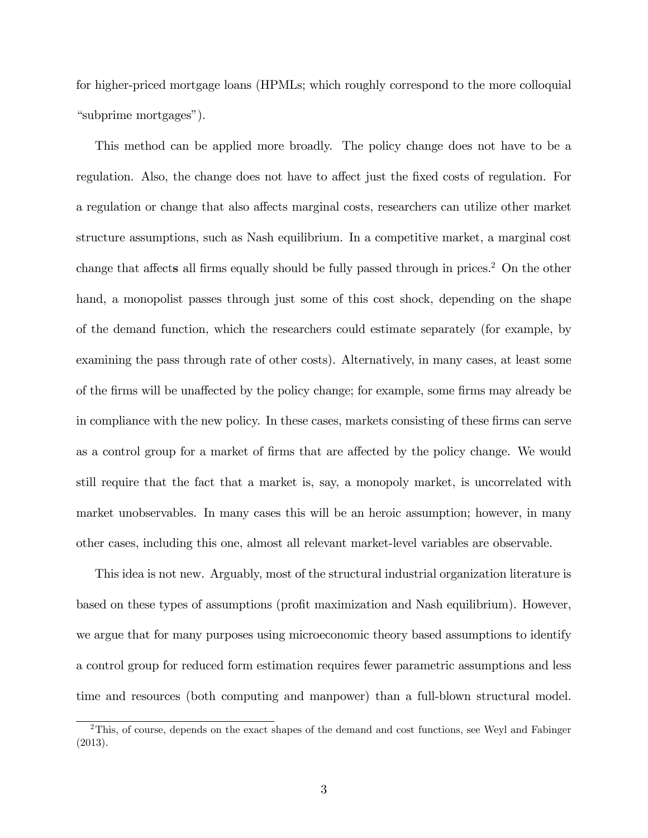for higher-priced mortgage loans (HPMLs; which roughly correspond to the more colloquial "subprime mortgages").

This method can be applied more broadly. The policy change does not have to be a regulation. Also, the change does not have to affect just the fixed costs of regulation. For a regulation or change that also affects marginal costs, researchers can utilize other market structure assumptions, such as Nash equilibrium. In a competitive market, a marginal cost change that affects all firms equally should be fully passed through in prices.<sup>[2](#page-0-0)</sup> On the other hand, a monopolist passes through just some of this cost shock, depending on the shape of the demand function, which the researchers could estimate separately (for example, by examining the pass through rate of other costs). Alternatively, in many cases, at least some of the firms will be unaffected by the policy change; for example, some firms may already be in compliance with the new policy. In these cases, markets consisting of these firms can serve as a control group for a market of firms that are affected by the policy change. We would still require that the fact that a market is, say, a monopoly market, is uncorrelated with market unobservables. In many cases this will be an heroic assumption; however, in many other cases, including this one, almost all relevant market-level variables are observable.

This idea is not new. Arguably, most of the structural industrial organization literature is based on these types of assumptions (profit maximization and Nash equilibrium). However, we argue that for many purposes using microeconomic theory based assumptions to identify a control group for reduced form estimation requires fewer parametric assumptions and less time and resources (both computing and manpower) than a full-blown structural model.

<sup>2</sup>This, of course, depends on the exact shapes of the demand and cost functions, see Weyl and Fabinger (2013).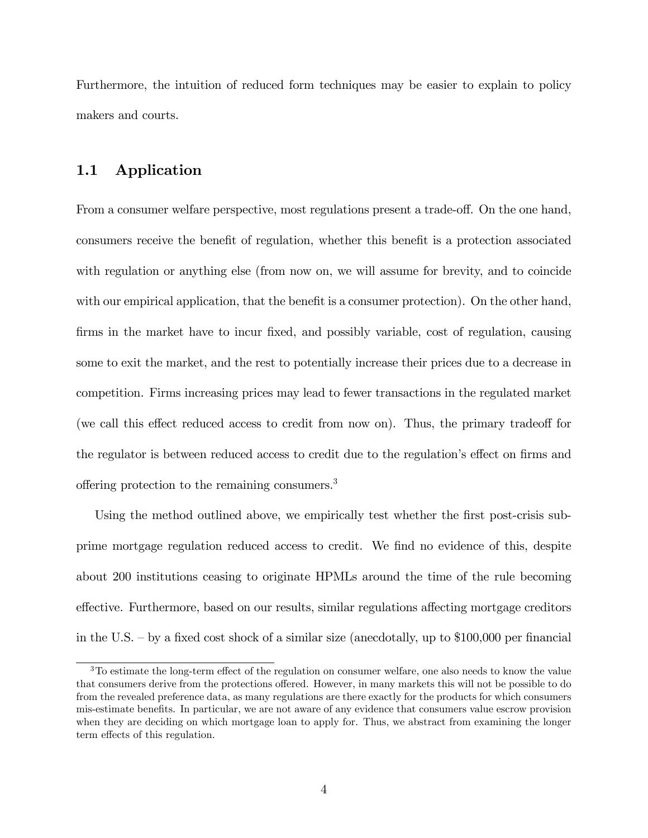Furthermore, the intuition of reduced form techniques may be easier to explain to policy makers and courts.

#### 1.1 Application

From a consumer welfare perspective, most regulations present a trade-off. On the one hand, consumers receive the benefit of regulation, whether this benefit is a protection associated with regulation or anything else (from now on, we will assume for brevity, and to coincide with our empirical application, that the benefit is a consumer protection). On the other hand, firms in the market have to incur fixed, and possibly variable, cost of regulation, causing some to exit the market, and the rest to potentially increase their prices due to a decrease in competition. Firms increasing prices may lead to fewer transactions in the regulated market (we call this effect reduced access to credit from now on). Thus, the primary tradeoff for the regulator is between reduced access to credit due to the regulation's effect on firms and offering protection to the remaining consumers.<sup>[3](#page-0-0)</sup>

Using the method outlined above, we empirically test whether the first post-crisis subprime mortgage regulation reduced access to credit. We find no evidence of this, despite about 200 institutions ceasing to originate HPMLs around the time of the rule becoming effective. Furthermore, based on our results, similar regulations affecting mortgage creditors in the U.S.  $-$  by a fixed cost shock of a similar size (anecdotally, up to \$100,000 per financial

 $3$ To estimate the long-term effect of the regulation on consumer welfare, one also needs to know the value that consumers derive from the protections offered. However, in many markets this will not be possible to do from the revealed preference data, as many regulations are there exactly for the products for which consumers mis-estimate benefits. In particular, we are not aware of any evidence that consumers value escrow provision when they are deciding on which mortgage loan to apply for. Thus, we abstract from examining the longer term effects of this regulation.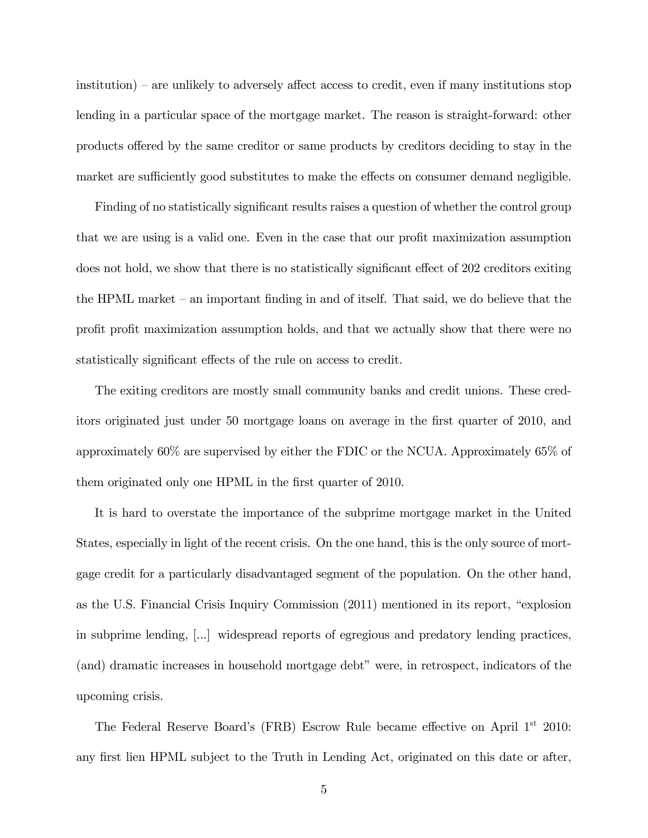$institution$ ) – are unlikely to adversely affect access to credit, even if many institutions stop lending in a particular space of the mortgage market. The reason is straight-forward: other products offered by the same creditor or same products by creditors deciding to stay in the market are sufficiently good substitutes to make the effects on consumer demand negligible.

Finding of no statistically significant results raises a question of whether the control group that we are using is a valid one. Even in the case that our profit maximization assumption does not hold, we show that there is no statistically significant effect of 202 creditors exiting the HPML market  $-$  an important finding in and of itself. That said, we do believe that the profit profit maximization assumption holds, and that we actually show that there were no statistically significant effects of the rule on access to credit.

The exiting creditors are mostly small community banks and credit unions. These creditors originated just under 50 mortgage loans on average in the first quarter of 2010, and approximately 60% are supervised by either the FDIC or the NCUA. Approximately 65% of them originated only one HPML in the first quarter of 2010.

It is hard to overstate the importance of the subprime mortgage market in the United States, especially in light of the recent crisis. On the one hand, this is the only source of mortgage credit for a particularly disadvantaged segment of the population. On the other hand, as the U.S. Financial Crisis Inquiry Commission  $(2011)$  mentioned in its report, "explosion" in subprime lending, [...] widespread reports of egregious and predatory lending practices, (and) dramatic increases in household mortgage debt" were, in retrospect, indicators of the upcoming crisis.

The Federal Reserve Board's (FRB) Escrow Rule became effective on April  $1<sup>st</sup>$  2010: any first lien HPML subject to the Truth in Lending Act, originated on this date or after,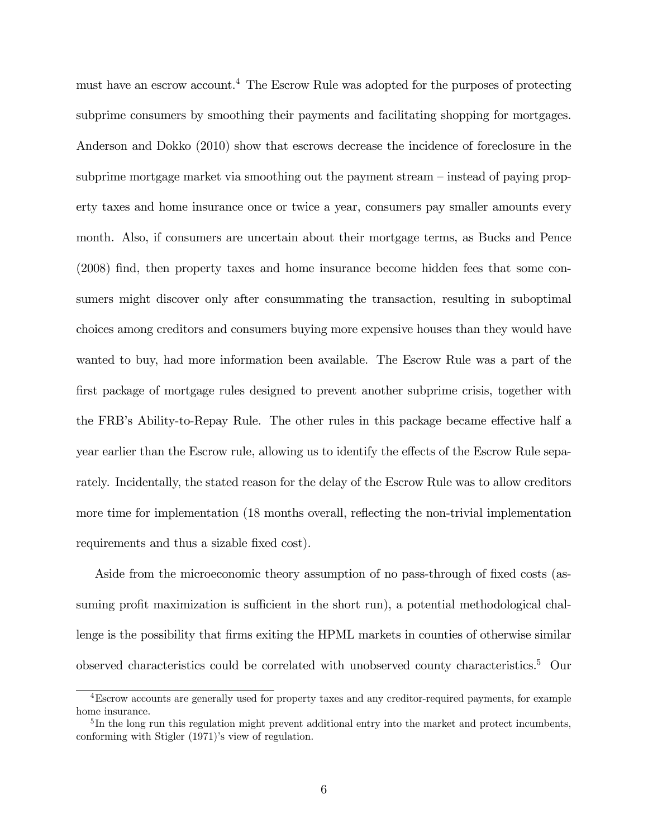must have an escrow account.[4](#page-0-0) The Escrow Rule was adopted for the purposes of protecting subprime consumers by smoothing their payments and facilitating shopping for mortgages. Anderson and Dokko (2010) show that escrows decrease the incidence of foreclosure in the subprime mortgage market via smoothing out the payment stream  $-$  instead of paying property taxes and home insurance once or twice a year, consumers pay smaller amounts every month. Also, if consumers are uncertain about their mortgage terms, as Bucks and Pence (2008) Önd, then property taxes and home insurance become hidden fees that some consumers might discover only after consummating the transaction, resulting in suboptimal choices among creditors and consumers buying more expensive houses than they would have wanted to buy, had more information been available. The Escrow Rule was a part of the first package of mortgage rules designed to prevent another subprime crisis, together with the FRB's Ability-to-Repay Rule. The other rules in this package became effective half a year earlier than the Escrow rule, allowing us to identify the effects of the Escrow Rule separately. Incidentally, the stated reason for the delay of the Escrow Rule was to allow creditors more time for implementation (18 months overall, reflecting the non-trivial implementation requirements and thus a sizable fixed cost).

Aside from the microeconomic theory assumption of no pass-through of fixed costs (assuming profit maximization is sufficient in the short run), a potential methodological challenge is the possibility that firms exiting the HPML markets in counties of otherwise similar observed characteristics could be correlated with unobserved county characteristics.[5](#page-0-0) Our

<sup>4</sup>Escrow accounts are generally used for property taxes and any creditor-required payments, for example home insurance.

<sup>&</sup>lt;sup>5</sup>In the long run this regulation might prevent additional entry into the market and protect incumbents, conforming with Stigler (1971)'s view of regulation.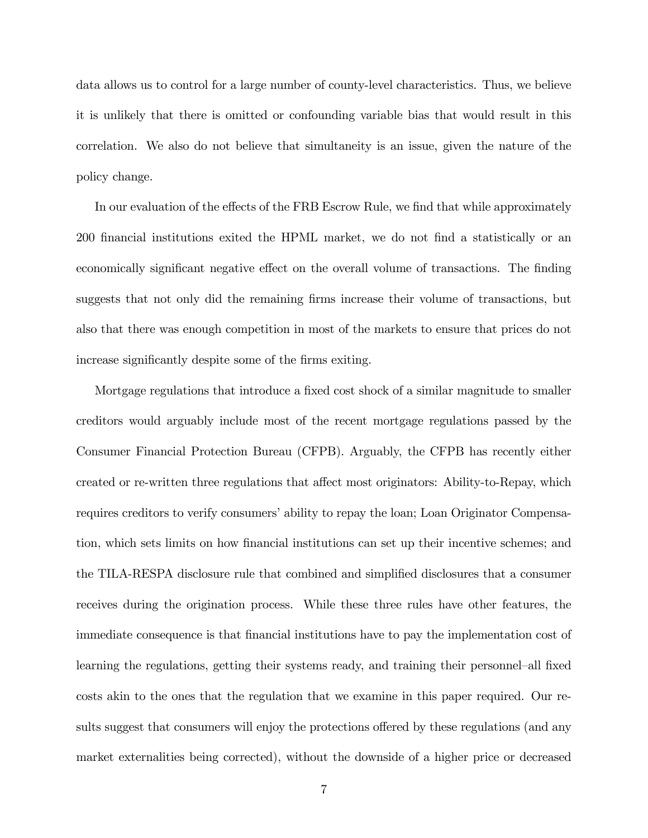data allows us to control for a large number of county-level characteristics. Thus, we believe it is unlikely that there is omitted or confounding variable bias that would result in this correlation. We also do not believe that simultaneity is an issue, given the nature of the policy change.

In our evaluation of the effects of the FRB Escrow Rule, we find that while approximately 200 financial institutions exited the HPML market, we do not find a statistically or an economically significant negative effect on the overall volume of transactions. The finding suggests that not only did the remaining firms increase their volume of transactions, but also that there was enough competition in most of the markets to ensure that prices do not increase significantly despite some of the firms exiting.

Mortgage regulations that introduce a fixed cost shock of a similar magnitude to smaller creditors would arguably include most of the recent mortgage regulations passed by the Consumer Financial Protection Bureau (CFPB). Arguably, the CFPB has recently either created or re-written three regulations that affect most originators: Ability-to-Repay, which requires creditors to verify consumers' ability to repay the loan; Loan Originator Compensation, which sets limits on how Önancial institutions can set up their incentive schemes; and the TILA-RESPA disclosure rule that combined and simplified disclosures that a consumer receives during the origination process. While these three rules have other features, the immediate consequence is that Önancial institutions have to pay the implementation cost of learning the regulations, getting their systems ready, and training their personnel–all fixed costs akin to the ones that the regulation that we examine in this paper required. Our results suggest that consumers will enjoy the protections offered by these regulations (and any market externalities being corrected), without the downside of a higher price or decreased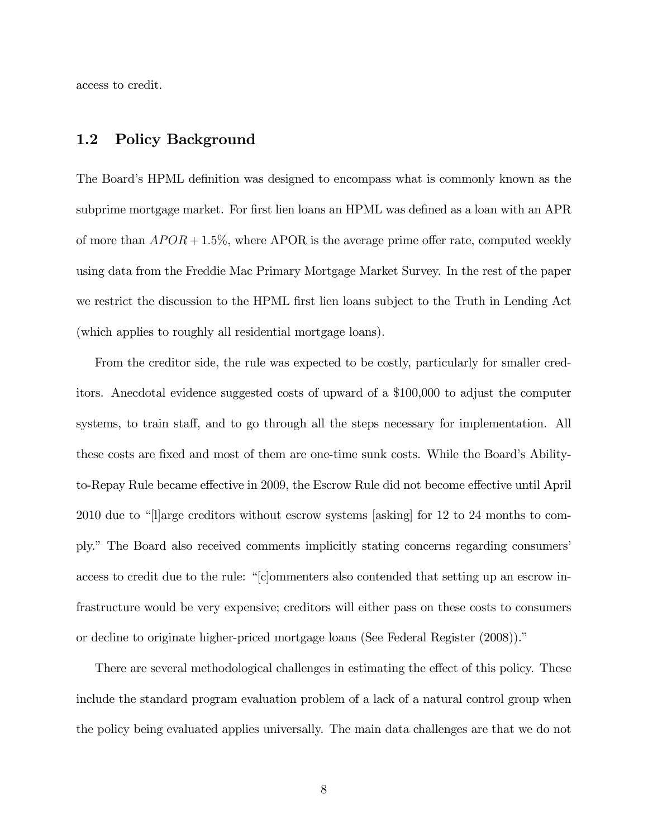access to credit.

#### 1.2 Policy Background

The Board's HPML definition was designed to encompass what is commonly known as the subprime mortgage market. For first lien loans an HPML was defined as a loan with an APR of more than  $APOR + 1.5\%$ , where APOR is the average prime offer rate, computed weekly using data from the Freddie Mac Primary Mortgage Market Survey. In the rest of the paper we restrict the discussion to the HPML first lien loans subject to the Truth in Lending Act (which applies to roughly all residential mortgage loans).

From the creditor side, the rule was expected to be costly, particularly for smaller creditors. Anecdotal evidence suggested costs of upward of a \$100,000 to adjust the computer systems, to train staff, and to go through all the steps necessary for implementation. All these costs are fixed and most of them are one-time sunk costs. While the Board's Abilityto-Repay Rule became effective in 2009, the Escrow Rule did not become effective until April 2010 due to "[l]arge creditors without escrow systems [asking] for 12 to 24 months to comply." The Board also received comments implicitly stating concerns regarding consumers' access to credit due to the rule:  $\lq$ <sup>"</sup>[c]ommenters also contended that setting up an escrow infrastructure would be very expensive; creditors will either pass on these costs to consumers or decline to originate higher-priced mortgage loans (See Federal Register (2008)).

There are several methodological challenges in estimating the effect of this policy. These include the standard program evaluation problem of a lack of a natural control group when the policy being evaluated applies universally. The main data challenges are that we do not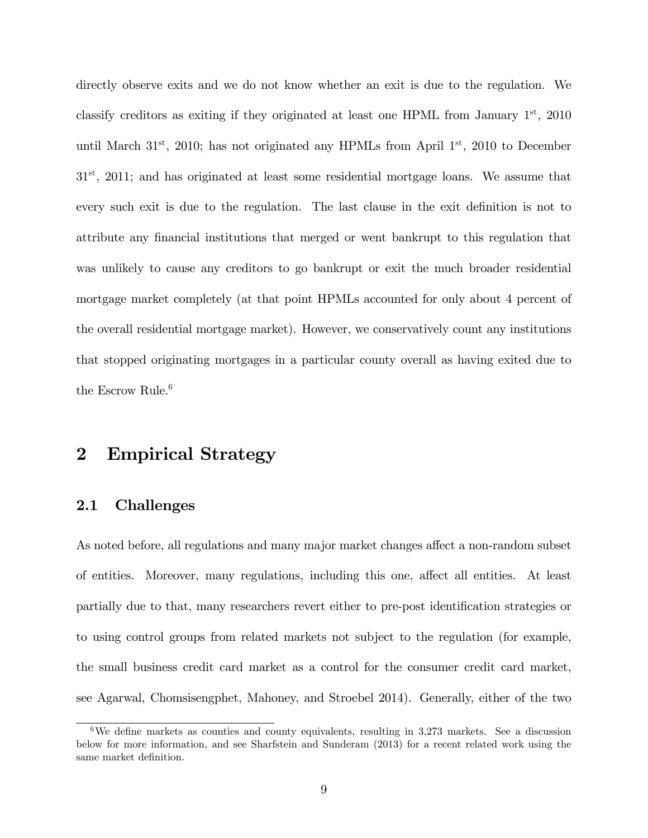directly observe exits and we do not know whether an exit is due to the regulation. We classify creditors as exiting if they originated at least one HPML from January  $1<sup>st</sup>$ , 2010 until March  $31^{st}$ , 2010; has not originated any HPMLs from April  $1^{st}$ , 2010 to December  $31<sup>st</sup>$ , 2011; and has originated at least some residential mortgage loans. We assume that every such exit is due to the regulation. The last clause in the exit definition is not to attribute any financial institutions that merged or went bankrupt to this regulation that was unlikely to cause any creditors to go bankrupt or exit the much broader residential mortgage market completely (at that point HPMLs accounted for only about 4 percent of the overall residential mortgage market). However, we conservatively count any institutions that stopped originating mortgages in a particular county overall as having exited due to the Escrow Rule.<sup>[6](#page-0-0)</sup>

## 2 Empirical Strategy

#### 2.1 Challenges

As noted before, all regulations and many major market changes affect a non-random subset of entities. Moreover, many regulations, including this one, affect all entities. At least partially due to that, many researchers revert either to pre-post identification strategies or to using control groups from related markets not subject to the regulation (for example, the small business credit card market as a control for the consumer credit card market, see Agarwal, Chomsisengphet, Mahoney, and Stroebel 2014). Generally, either of the two

<sup>&</sup>lt;sup>6</sup>We define markets as counties and county equivalents, resulting in 3,273 markets. See a discussion below for more information, and see Sharfstein and Sunderam (2013) for a recent related work using the same market definition.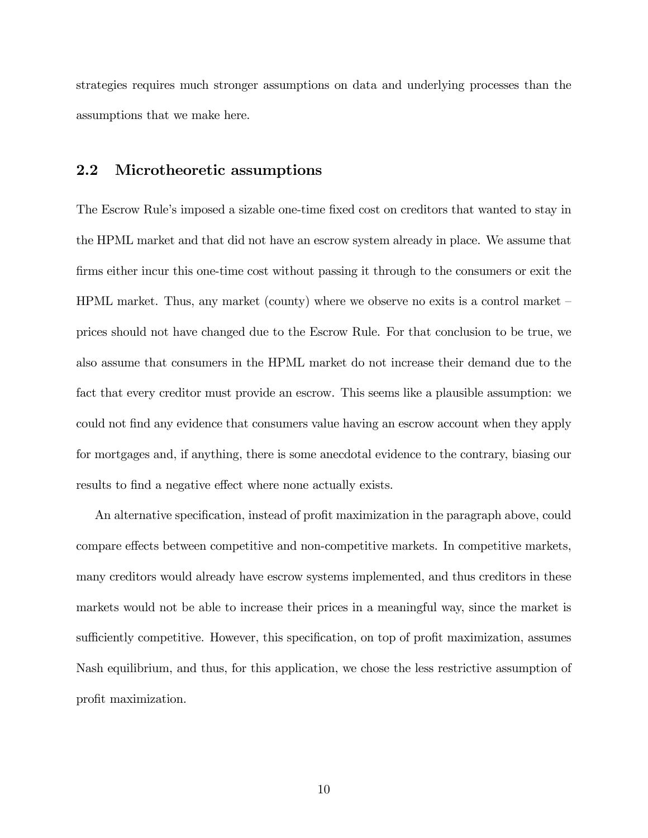strategies requires much stronger assumptions on data and underlying processes than the assumptions that we make here.

#### 2.2 Microtheoretic assumptions

The Escrow Rule's imposed a sizable one-time fixed cost on creditors that wanted to stay in the HPML market and that did not have an escrow system already in place. We assume that firms either incur this one-time cost without passing it through to the consumers or exit the HPML market. Thus, any market (county) where we observe no exits is a control market  $\overline{\phantom{a}}$ prices should not have changed due to the Escrow Rule. For that conclusion to be true, we also assume that consumers in the HPML market do not increase their demand due to the fact that every creditor must provide an escrow. This seems like a plausible assumption: we could not find any evidence that consumers value having an escrow account when they apply for mortgages and, if anything, there is some anecdotal evidence to the contrary, biasing our results to find a negative effect where none actually exists.

An alternative specification, instead of profit maximization in the paragraph above, could compare effects between competitive and non-competitive markets. In competitive markets, many creditors would already have escrow systems implemented, and thus creditors in these markets would not be able to increase their prices in a meaningful way, since the market is sufficiently competitive. However, this specification, on top of profit maximization, assumes Nash equilibrium, and thus, for this application, we chose the less restrictive assumption of profit maximization.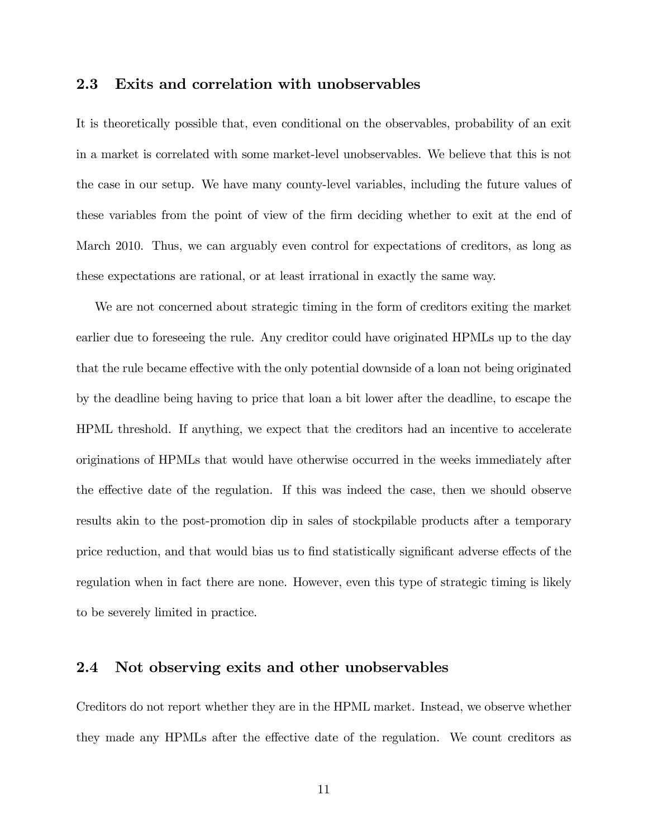#### 2.3 Exits and correlation with unobservables

It is theoretically possible that, even conditional on the observables, probability of an exit in a market is correlated with some market-level unobservables. We believe that this is not the case in our setup. We have many county-level variables, including the future values of these variables from the point of view of the firm deciding whether to exit at the end of March 2010. Thus, we can arguably even control for expectations of creditors, as long as these expectations are rational, or at least irrational in exactly the same way.

We are not concerned about strategic timing in the form of creditors exiting the market earlier due to foreseeing the rule. Any creditor could have originated HPMLs up to the day that the rule became effective with the only potential downside of a loan not being originated by the deadline being having to price that loan a bit lower after the deadline, to escape the HPML threshold. If anything, we expect that the creditors had an incentive to accelerate originations of HPMLs that would have otherwise occurred in the weeks immediately after the effective date of the regulation. If this was indeed the case, then we should observe results akin to the post-promotion dip in sales of stockpilable products after a temporary price reduction, and that would bias us to find statistically significant adverse effects of the regulation when in fact there are none. However, even this type of strategic timing is likely to be severely limited in practice.

#### 2.4 Not observing exits and other unobservables

Creditors do not report whether they are in the HPML market. Instead, we observe whether they made any HPMLs after the effective date of the regulation. We count creditors as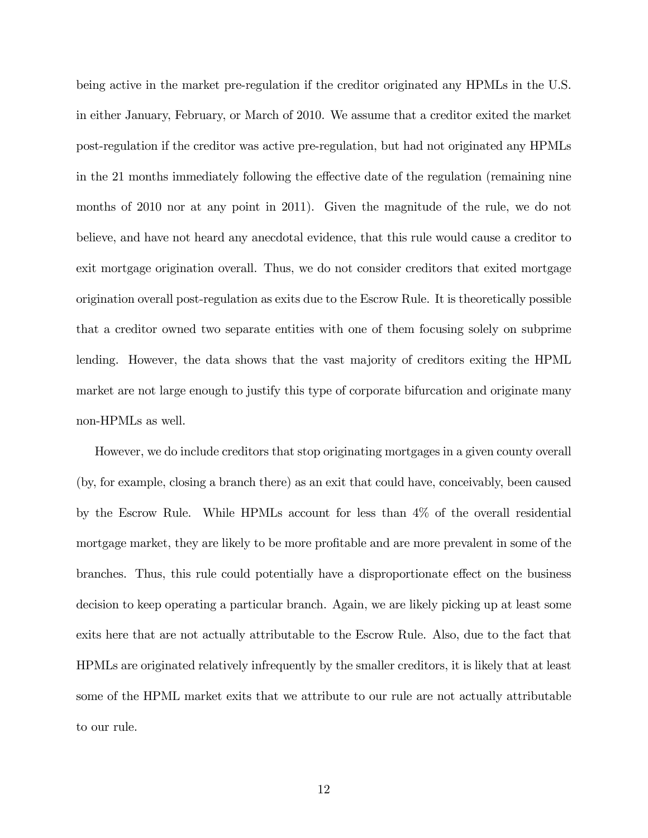being active in the market pre-regulation if the creditor originated any HPMLs in the U.S. in either January, February, or March of 2010. We assume that a creditor exited the market post-regulation if the creditor was active pre-regulation, but had not originated any HPMLs in the 21 months immediately following the effective date of the regulation (remaining nine months of 2010 nor at any point in 2011). Given the magnitude of the rule, we do not believe, and have not heard any anecdotal evidence, that this rule would cause a creditor to exit mortgage origination overall. Thus, we do not consider creditors that exited mortgage origination overall post-regulation as exits due to the Escrow Rule. It is theoretically possible that a creditor owned two separate entities with one of them focusing solely on subprime lending. However, the data shows that the vast majority of creditors exiting the HPML market are not large enough to justify this type of corporate bifurcation and originate many non-HPMLs as well.

However, we do include creditors that stop originating mortgages in a given county overall (by, for example, closing a branch there) as an exit that could have, conceivably, been caused by the Escrow Rule. While HPMLs account for less than 4% of the overall residential mortgage market, they are likely to be more profitable and are more prevalent in some of the branches. Thus, this rule could potentially have a disproportionate effect on the business decision to keep operating a particular branch. Again, we are likely picking up at least some exits here that are not actually attributable to the Escrow Rule. Also, due to the fact that HPMLs are originated relatively infrequently by the smaller creditors, it is likely that at least some of the HPML market exits that we attribute to our rule are not actually attributable to our rule.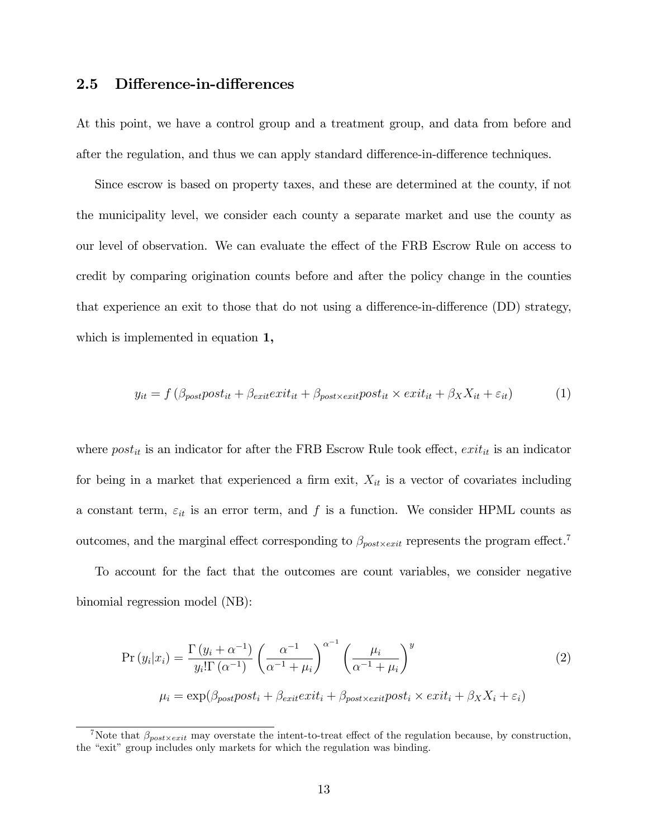#### 2.5 Difference-in-differences

At this point, we have a control group and a treatment group, and data from before and after the regulation, and thus we can apply standard difference-in-difference techniques.

Since escrow is based on property taxes, and these are determined at the county, if not the municipality level, we consider each county a separate market and use the county as our level of observation. We can evaluate the effect of the FRB Escrow Rule on access to credit by comparing origination counts before and after the policy change in the counties that experience an exit to those that do not using a difference-in-difference  $(DD)$  strategy, which is implemented in equation [1,](#page-12-0)

<span id="page-12-0"></span>
$$
y_{it} = f(\beta_{post}post_{it} + \beta_{exit}exit_{it} + \beta_{post \times exit} post_{it} \times exit_{it} + \beta_{X} X_{it} + \varepsilon_{it})
$$
(1)

where  $post_{it}$  is an indicator for after the FRB Escrow Rule took effect,  $exit_{it}$  is an indicator for being in a market that experienced a firm exit,  $X_{it}$  is a vector of covariates including a constant term,  $\varepsilon_{it}$  is an error term, and f is a function. We consider HPML counts as outcomes, and the marginal effect corresponding to  $\beta_{post \times exit}$  represents the program effect.<sup>[7](#page-0-0)</sup>

To account for the fact that the outcomes are count variables, we consider negative binomial regression model (NB):

$$
\Pr\left(y_i|x_i\right) = \frac{\Gamma\left(y_i + \alpha^{-1}\right)}{y_i!\Gamma\left(\alpha^{-1}\right)} \left(\frac{\alpha^{-1}}{\alpha^{-1} + \mu_i}\right)^{\alpha^{-1}} \left(\frac{\mu_i}{\alpha^{-1} + \mu_i}\right)^y
$$
\n
$$
\mu_i = \exp(\beta_{post}post_i + \beta_{exit}exit_i + \beta_{post \times exit} post_i \times exit_i + \beta_X X_i + \varepsilon_i)
$$
\n(2)

Note that  $\beta_{post \times exit}$  may overstate the intent-to-treat effect of the regulation because, by construction, the "exit" group includes only markets for which the regulation was binding.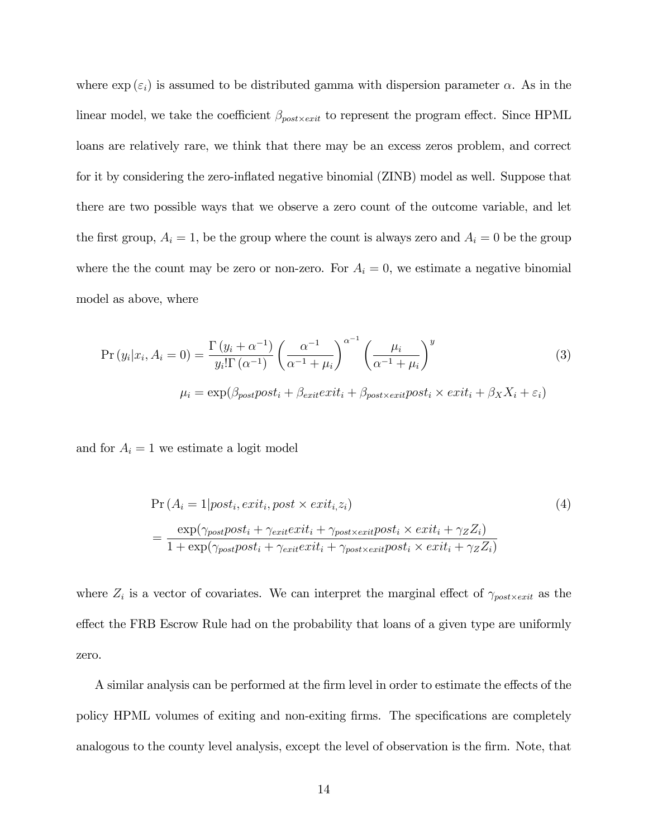where  $\exp\left(\epsilon_i\right)$  is assumed to be distributed gamma with dispersion parameter  $\alpha$ . As in the linear model, we take the coefficient  $\beta_{post \times exit}$  to represent the program effect. Since HPML loans are relatively rare, we think that there may be an excess zeros problem, and correct for it by considering the zero-inflated negative binomial (ZINB) model as well. Suppose that there are two possible ways that we observe a zero count of the outcome variable, and let the first group,  $A_i = 1$ , be the group where the count is always zero and  $A_i = 0$  be the group where the the count may be zero or non-zero. For  $A_i = 0$ , we estimate a negative binomial model as above, where

$$
\Pr(y_i|x_i, A_i = 0) = \frac{\Gamma(y_i + \alpha^{-1})}{y_i!\Gamma(\alpha^{-1})} \left(\frac{\alpha^{-1}}{\alpha^{-1} + \mu_i}\right)^{\alpha^{-1}} \left(\frac{\mu_i}{\alpha^{-1} + \mu_i}\right)^y
$$
(3)  

$$
\mu_i = \exp(\beta_{post}post_i + \beta_{exit}exit_i + \beta_{post \times exit}post_i \times exit_i + \beta_X X_i + \varepsilon_i)
$$

and for  $A_i = 1$  we estimate a logit model

$$
\Pr(A_i = 1 | post_i, exit_i, post \times exit_i, z_i)
$$
\n
$$
= \frac{\exp(\gamma_{post}post_i + \gamma_{exit}exit_i + \gamma_{post}x_{exit}post_i \times exit_i + \gamma_Z Z_i)}{1 + \exp(\gamma_{post}post_i + \gamma_{exit}exit_i + \gamma_{post}x_{exit}post_i \times exit_i + \gamma_Z Z_i)}
$$
\n(4)

where  $Z_i$  is a vector of covariates. We can interpret the marginal effect of  $\gamma_{post \times exit}$  as the effect the FRB Escrow Rule had on the probability that loans of a given type are uniformly zero.

A similar analysis can be performed at the firm level in order to estimate the effects of the policy HPML volumes of exiting and non-exiting firms. The specifications are completely analogous to the county level analysis, except the level of observation is the firm. Note, that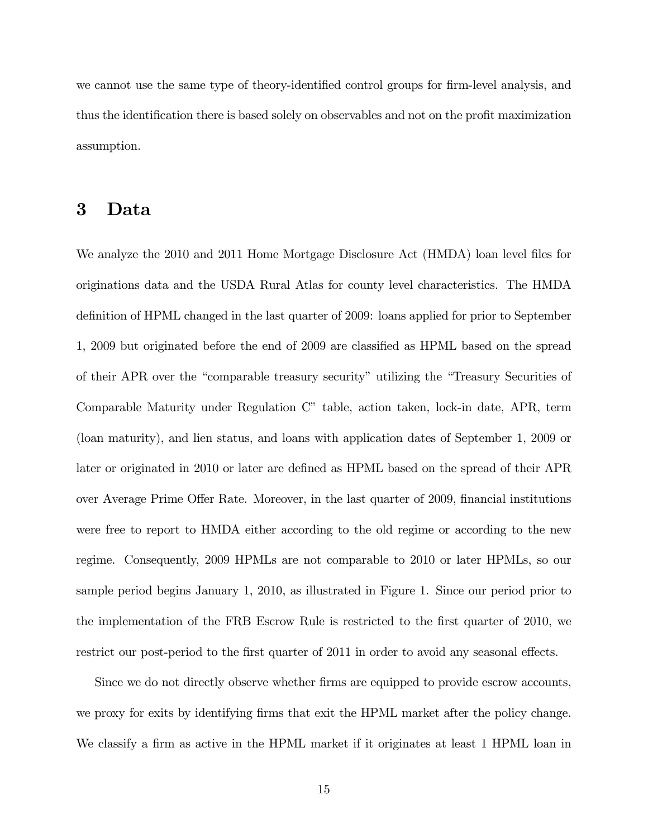we cannot use the same type of theory-identified control groups for firm-level analysis, and thus the identification there is based solely on observables and not on the profit maximization assumption.

## 3 Data

We analyze the 2010 and 2011 Home Mortgage Disclosure Act (HMDA) loan level files for originations data and the USDA Rural Atlas for county level characteristics. The HMDA definition of HPML changed in the last quarter of 2009: loans applied for prior to September 1, 2009 but originated before the end of 2009 are classified as HPML based on the spread of their APR over the "comparable treasury security" utilizing the "Treasury Securities of Comparable Maturity under Regulation C" table, action taken, lock-in date, APR, term (loan maturity), and lien status, and loans with application dates of September 1, 2009 or later or originated in 2010 or later are defined as HPML based on the spread of their APR over Average Prime Offer Rate. Moreover, in the last quarter of 2009, financial institutions were free to report to HMDA either according to the old regime or according to the new regime. Consequently, 2009 HPMLs are not comparable to 2010 or later HPMLs, so our sample period begins January 1, 2010, as illustrated in Figure [1.](#page-31-0) Since our period prior to the implementation of the FRB Escrow Rule is restricted to the first quarter of 2010, we restrict our post-period to the first quarter of 2011 in order to avoid any seasonal effects.

Since we do not directly observe whether firms are equipped to provide escrow accounts, we proxy for exits by identifying firms that exit the HPML market after the policy change. We classify a firm as active in the HPML market if it originates at least 1 HPML loan in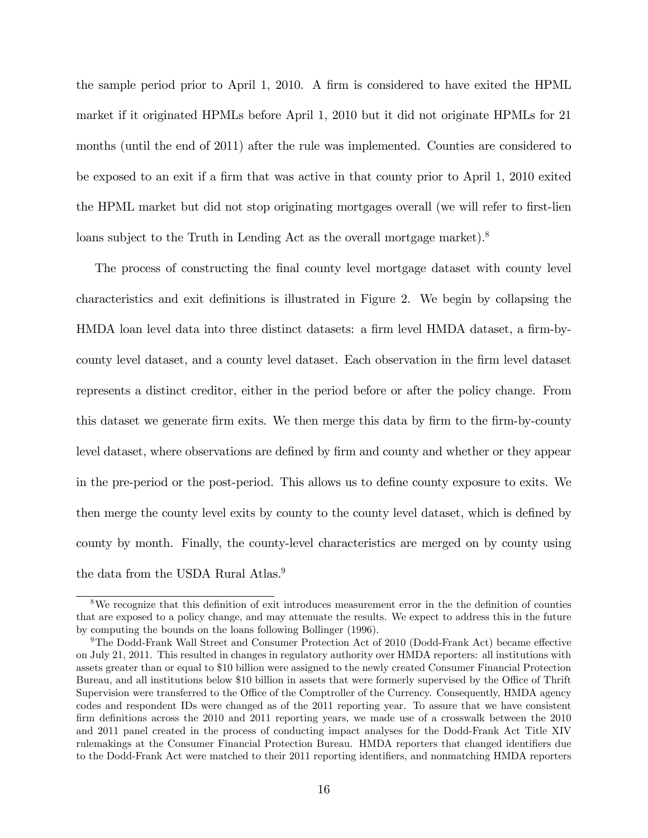the sample period prior to April 1, 2010. A firm is considered to have exited the HPML market if it originated HPMLs before April 1, 2010 but it did not originate HPMLs for 21 months (until the end of 2011) after the rule was implemented. Counties are considered to be exposed to an exit if a firm that was active in that county prior to April 1, 2010 exited the HPML market but did not stop originating mortgages overall (we will refer to first-lien loans subject to the Truth in Lending Act as the overall mortgage market).<sup>[8](#page-0-0)</sup>

The process of constructing the final county level mortgage dataset with county level characteristics and exit definitions is illustrated in Figure [2.](#page-31-1) We begin by collapsing the HMDA loan level data into three distinct datasets: a firm level HMDA dataset, a firm-bycounty level dataset, and a county level dataset. Each observation in the firm level dataset represents a distinct creditor, either in the period before or after the policy change. From this dataset we generate firm exits. We then merge this data by firm to the firm-by-county level dataset, where observations are defined by firm and county and whether or they appear in the pre-period or the post-period. This allows us to define county exposure to exits. We then merge the county level exits by county to the county level dataset, which is defined by county by month. Finally, the county-level characteristics are merged on by county using the data from the USDA Rural Atlas.<sup>[9](#page-0-0)</sup>

<sup>&</sup>lt;sup>8</sup>We recognize that this definition of exit introduces measurement error in the the definition of counties that are exposed to a policy change, and may attenuate the results. We expect to address this in the future by computing the bounds on the loans following Bollinger (1996).

 $9$ The Dodd-Frank Wall Street and Consumer Protection Act of 2010 (Dodd-Frank Act) became effective on July 21, 2011. This resulted in changes in regulatory authority over HMDA reporters: all institutions with assets greater than or equal to \$10 billion were assigned to the newly created Consumer Financial Protection Bureau, and all institutions below \$10 billion in assets that were formerly supervised by the Office of Thrift Supervision were transferred to the Office of the Comptroller of the Currency. Consequently, HMDA agency codes and respondent IDs were changed as of the 2011 reporting year. To assure that we have consistent firm definitions across the 2010 and 2011 reporting years, we made use of a crosswalk between the 2010 and 2011 panel created in the process of conducting impact analyses for the Dodd-Frank Act Title XIV rulemakings at the Consumer Financial Protection Bureau. HMDA reporters that changed identifiers due to the Dodd-Frank Act were matched to their 2011 reporting identifiers, and nonmatching HMDA reporters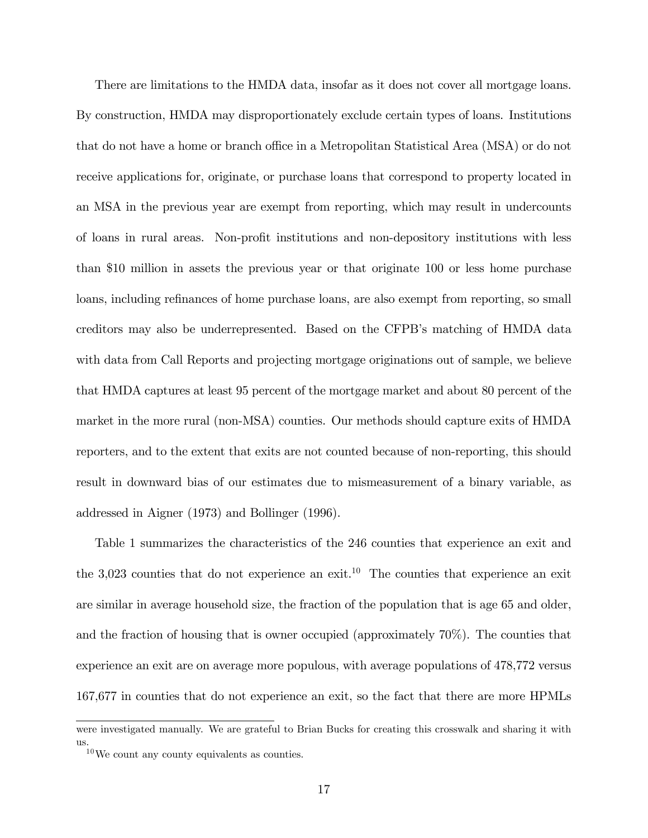There are limitations to the HMDA data, insofar as it does not cover all mortgage loans. By construction, HMDA may disproportionately exclude certain types of loans. Institutions that do not have a home or branch office in a Metropolitan Statistical Area (MSA) or do not receive applications for, originate, or purchase loans that correspond to property located in an MSA in the previous year are exempt from reporting, which may result in undercounts of loans in rural areas. Non-profit institutions and non-depository institutions with less than \$10 million in assets the previous year or that originate 100 or less home purchase loans, including refinances of home purchase loans, are also exempt from reporting, so small creditors may also be underrepresented. Based on the CFPBís matching of HMDA data with data from Call Reports and projecting mortgage originations out of sample, we believe that HMDA captures at least 95 percent of the mortgage market and about 80 percent of the market in the more rural (non-MSA) counties. Our methods should capture exits of HMDA reporters, and to the extent that exits are not counted because of non-reporting, this should result in downward bias of our estimates due to mismeasurement of a binary variable, as addressed in Aigner (1973) and Bollinger (1996).

Table [1](#page-36-0) summarizes the characteristics of the 246 counties that experience an exit and the 3,023 counties that do not experience an exit.<sup>[10](#page-0-0)</sup> The counties that experience an exit are similar in average household size, the fraction of the population that is age 65 and older, and the fraction of housing that is owner occupied (approximately 70%). The counties that experience an exit are on average more populous, with average populations of 478,772 versus 167,677 in counties that do not experience an exit, so the fact that there are more HPMLs

were investigated manually. We are grateful to Brian Bucks for creating this crosswalk and sharing it with us.

<sup>10</sup>We count any county equivalents as counties.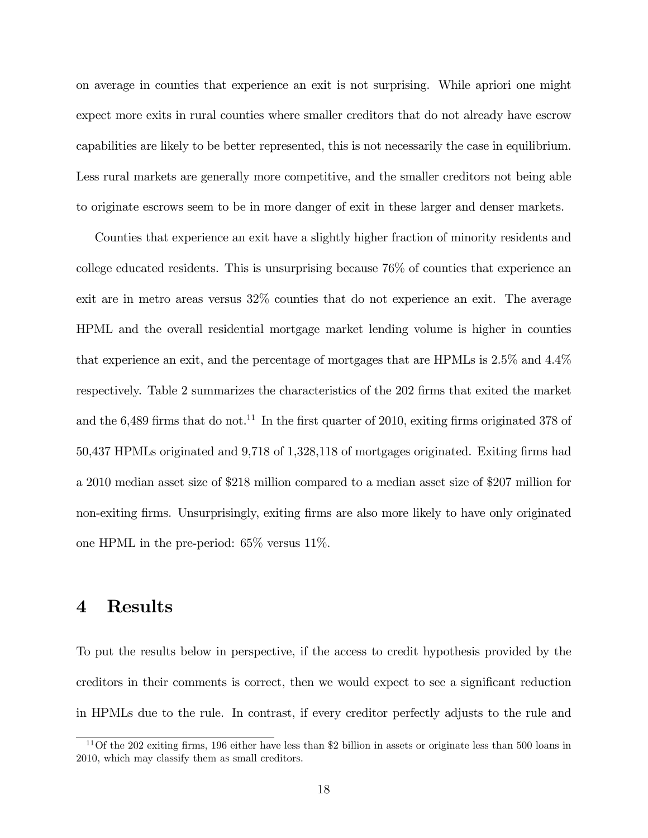on average in counties that experience an exit is not surprising. While apriori one might expect more exits in rural counties where smaller creditors that do not already have escrow capabilities are likely to be better represented, this is not necessarily the case in equilibrium. Less rural markets are generally more competitive, and the smaller creditors not being able to originate escrows seem to be in more danger of exit in these larger and denser markets.

Counties that experience an exit have a slightly higher fraction of minority residents and college educated residents. This is unsurprising because 76% of counties that experience an exit are in metro areas versus 32% counties that do not experience an exit. The average HPML and the overall residential mortgage market lending volume is higher in counties that experience an exit, and the percentage of mortgages that are HPMLs is 2.5% and 4.4% respectively. Table [2](#page-37-0) summarizes the characteristics of the 202 firms that exited the market and the  $6,489$  firms that do not.<sup>[11](#page-0-0)</sup> In the first quarter of 2010, exiting firms originated 378 of 50,437 HPMLs originated and 9,718 of 1,328,118 of mortgages originated. Exiting firms had a 2010 median asset size of \$218 million compared to a median asset size of \$207 million for non-exiting firms. Unsurprisingly, exiting firms are also more likely to have only originated one HPML in the pre-period: 65% versus 11%.

## 4 Results

To put the results below in perspective, if the access to credit hypothesis provided by the creditors in their comments is correct, then we would expect to see a significant reduction in HPMLs due to the rule. In contrast, if every creditor perfectly adjusts to the rule and

 $11$ Of the 202 exiting firms, 196 either have less than \$2 billion in assets or originate less than 500 loans in 2010, which may classify them as small creditors.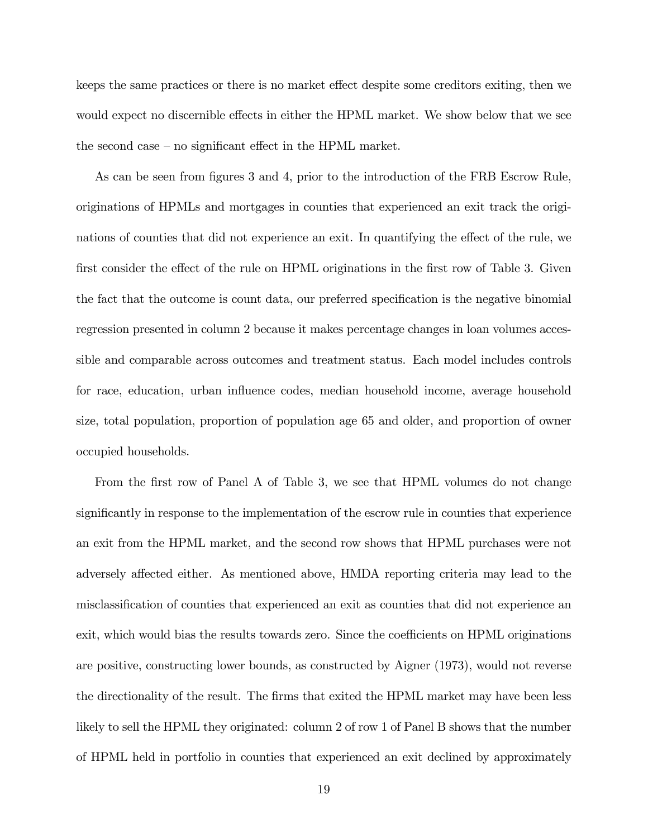keeps the same practices or there is no market effect despite some creditors exiting, then we would expect no discernible effects in either the HPML market. We show below that we see the second case  $-$  no significant effect in the HPML market.

As can be seen from figures [3](#page-32-0) and [4,](#page-32-1) prior to the introduction of the FRB Escrow Rule, originations of HPMLs and mortgages in counties that experienced an exit track the originations of counties that did not experience an exit. In quantifying the effect of the rule, we first consider the effect of the rule on HPML originations in the first row of Table [3.](#page-38-0) Given the fact that the outcome is count data, our preferred specification is the negative binomial regression presented in column 2 because it makes percentage changes in loan volumes accessible and comparable across outcomes and treatment status. Each model includes controls for race, education, urban ináuence codes, median household income, average household size, total population, proportion of population age 65 and older, and proportion of owner occupied households.

From the first row of Panel A of Table [3,](#page-38-0) we see that HPML volumes do not change significantly in response to the implementation of the escrow rule in counties that experience an exit from the HPML market, and the second row shows that HPML purchases were not adversely affected either. As mentioned above, HMDA reporting criteria may lead to the misclassification of counties that experienced an exit as counties that did not experience an exit, which would bias the results towards zero. Since the coefficients on HPML originations are positive, constructing lower bounds, as constructed by Aigner (1973), would not reverse the directionality of the result. The firms that exited the HPML market may have been less likely to sell the HPML they originated: column 2 of row 1 of Panel B shows that the number of HPML held in portfolio in counties that experienced an exit declined by approximately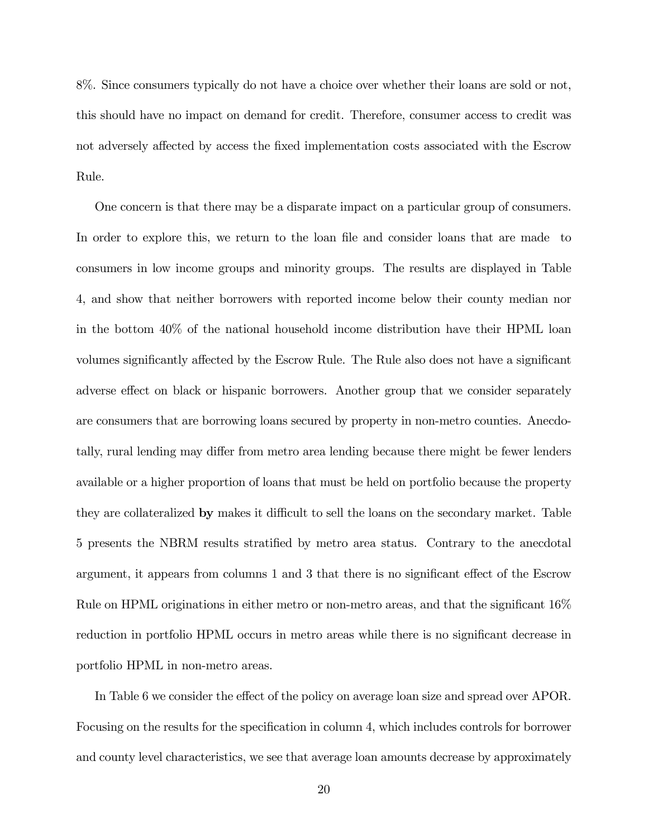8%. Since consumers typically do not have a choice over whether their loans are sold or not, this should have no impact on demand for credit. Therefore, consumer access to credit was not adversely affected by access the fixed implementation costs associated with the Escrow Rule.

One concern is that there may be a disparate impact on a particular group of consumers. In order to explore this, we return to the loan file and consider loans that are made to consumers in low income groups and minority groups. The results are displayed in Table [4,](#page-39-0) and show that neither borrowers with reported income below their county median nor in the bottom 40% of the national household income distribution have their HPML loan volumes significantly affected by the Escrow Rule. The Rule also does not have a significant adverse effect on black or hispanic borrowers. Another group that we consider separately are consumers that are borrowing loans secured by property in non-metro counties. Anecdotally, rural lending may differ from metro area lending because there might be fewer lenders available or a higher proportion of loans that must be held on portfolio because the property they are collateralized by makes it difficult to sell the loans on the secondary market. Table [5](#page-40-0) presents the NBRM results stratified by metro area status. Contrary to the anecdotal argument, it appears from columns 1 and 3 that there is no significant effect of the Escrow Rule on HPML originations in either metro or non-metro areas, and that the significant  $16\%$ reduction in portfolio HPML occurs in metro areas while there is no significant decrease in portfolio HPML in non-metro areas.

In Table [6](#page-41-0) we consider the effect of the policy on average loan size and spread over APOR. Focusing on the results for the specification in column 4, which includes controls for borrower and county level characteristics, we see that average loan amounts decrease by approximately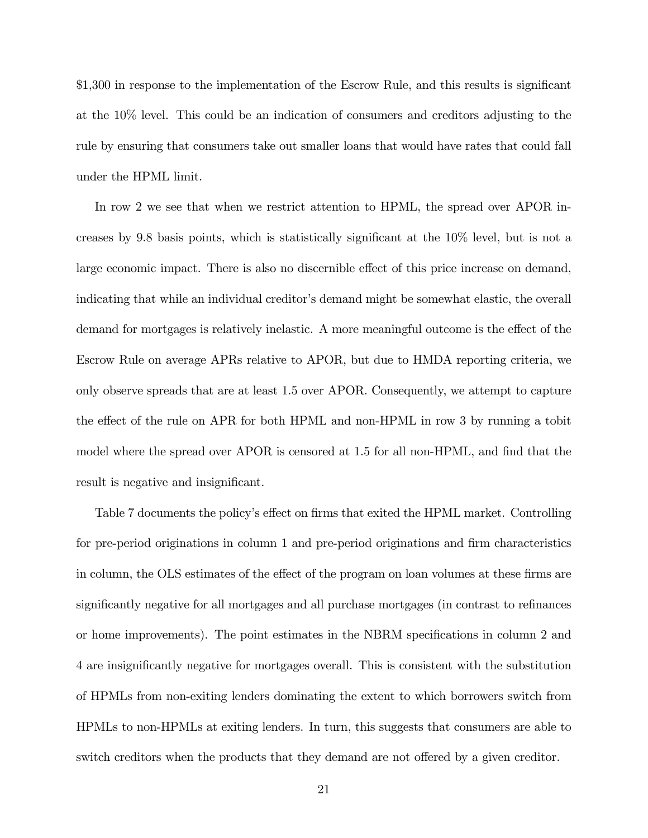\$1,300 in response to the implementation of the Escrow Rule, and this results is significant at the 10% level. This could be an indication of consumers and creditors adjusting to the rule by ensuring that consumers take out smaller loans that would have rates that could fall under the HPML limit.

In row 2 we see that when we restrict attention to HPML, the spread over APOR increases by 9.8 basis points, which is statistically significant at the  $10\%$  level, but is not a large economic impact. There is also no discernible effect of this price increase on demand, indicating that while an individual creditor's demand might be somewhat elastic, the overall demand for mortgages is relatively inelastic. A more meaningful outcome is the effect of the Escrow Rule on average APRs relative to APOR, but due to HMDA reporting criteria, we only observe spreads that are at least 1.5 over APOR. Consequently, we attempt to capture the effect of the rule on APR for both HPML and non-HPML in row 3 by running a tobit model where the spread over APOR is censored at  $1.5$  for all non-HPML, and find that the result is negative and insignificant.

Table [7](#page-42-0) documents the policy's effect on firms that exited the HPML market. Controlling for pre-period originations in column 1 and pre-period originations and firm characteristics in column, the OLS estimates of the effect of the program on loan volumes at these firms are significantly negative for all mortgages and all purchase mortgages (in contrast to refinances or home improvements). The point estimates in the NBRM specifications in column 2 and 4 are insigniÖcantly negative for mortgages overall. This is consistent with the substitution of HPMLs from non-exiting lenders dominating the extent to which borrowers switch from HPMLs to non-HPMLs at exiting lenders. In turn, this suggests that consumers are able to switch creditors when the products that they demand are not offered by a given creditor.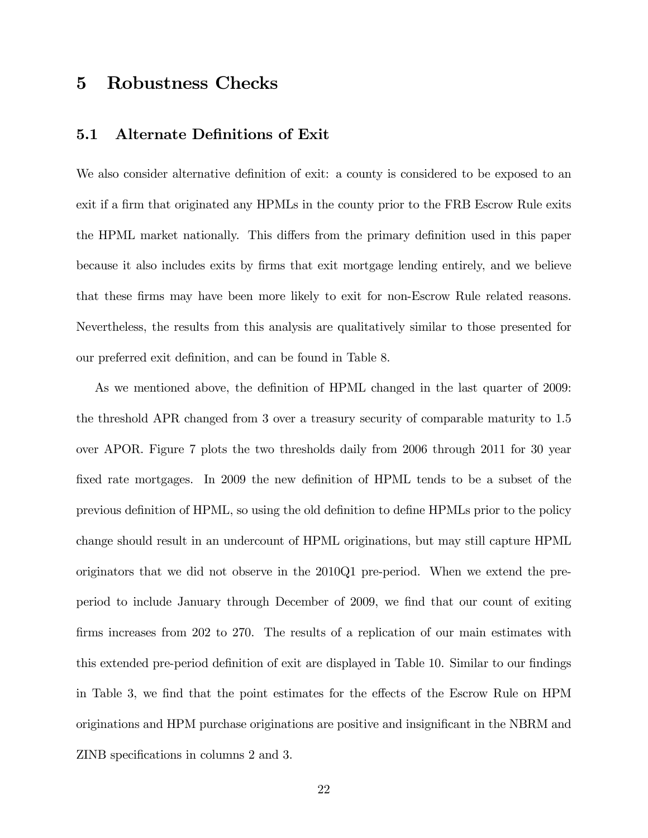## 5 Robustness Checks

#### 5.1 Alternate Definitions of Exit

We also consider alternative definition of exit: a county is considered to be exposed to an exit if a firm that originated any HPMLs in the county prior to the FRB Escrow Rule exits the HPML market nationally. This differs from the primary definition used in this paper because it also includes exits by Örms that exit mortgage lending entirely, and we believe that these Örms may have been more likely to exit for non-Escrow Rule related reasons. Nevertheless, the results from this analysis are qualitatively similar to those presented for our preferred exit definition, and can be found in Table [8.](#page-42-1)

As we mentioned above, the definition of HPML changed in the last quarter of 2009: the threshold APR changed from 3 over a treasury security of comparable maturity to 1.5 over APOR. Figure [7](#page-34-0) plots the two thresholds daily from 2006 through 2011 for 30 year fixed rate mortgages. In 2009 the new definition of HPML tends to be a subset of the previous definition of HPML, so using the old definition to define HPMLs prior to the policy change should result in an undercount of HPML originations, but may still capture HPML originators that we did not observe in the 2010Q1 pre-period. When we extend the preperiod to include January through December of 2009, we find that our count of exiting firms increases from 202 to 270. The results of a replication of our main estimates with this extended pre-period definition of exit are displayed in Table [10.](#page-44-0) Similar to our findings in Table [3,](#page-38-0) we find that the point estimates for the effects of the Escrow Rule on HPM originations and HPM purchase originations are positive and insignificant in the NBRM and ZINB specifications in columns 2 and 3.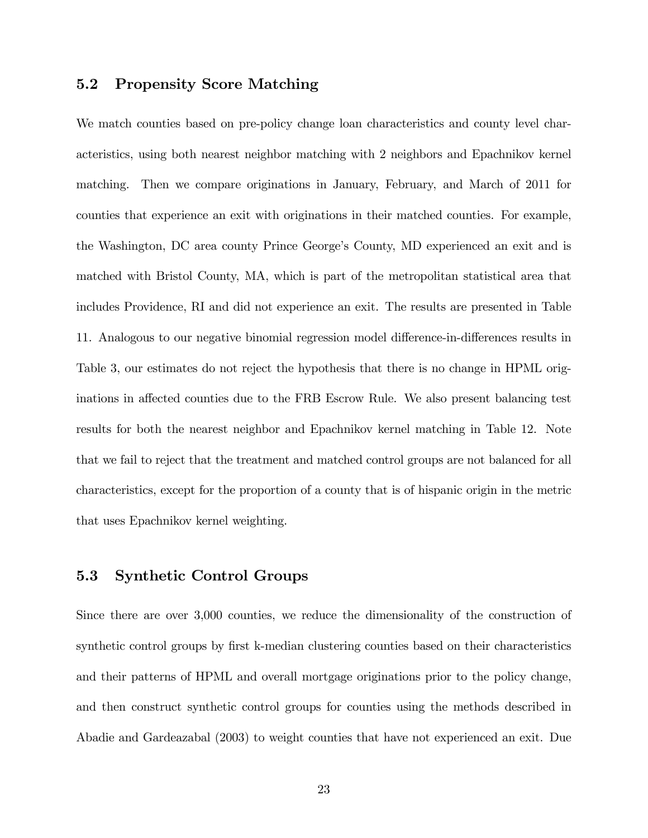#### 5.2 Propensity Score Matching

We match counties based on pre-policy change loan characteristics and county level characteristics, using both nearest neighbor matching with 2 neighbors and Epachnikov kernel matching. Then we compare originations in January, February, and March of 2011 for counties that experience an exit with originations in their matched counties. For example, the Washington, DC area county Prince George's County, MD experienced an exit and is matched with Bristol County, MA, which is part of the metropolitan statistical area that includes Providence, RI and did not experience an exit. The results are presented in Table [11.](#page-44-1) Analogous to our negative binomial regression model difference-in-differences results in Table [3,](#page-38-0) our estimates do not reject the hypothesis that there is no change in HPML originations in affected counties due to the FRB Escrow Rule. We also present balancing test results for both the nearest neighbor and Epachnikov kernel matching in Table [12.](#page-45-0) Note that we fail to reject that the treatment and matched control groups are not balanced for all characteristics, except for the proportion of a county that is of hispanic origin in the metric that uses Epachnikov kernel weighting.

#### 5.3 Synthetic Control Groups

Since there are over 3,000 counties, we reduce the dimensionality of the construction of synthetic control groups by first k-median clustering counties based on their characteristics and their patterns of HPML and overall mortgage originations prior to the policy change, and then construct synthetic control groups for counties using the methods described in Abadie and Gardeazabal (2003) to weight counties that have not experienced an exit. Due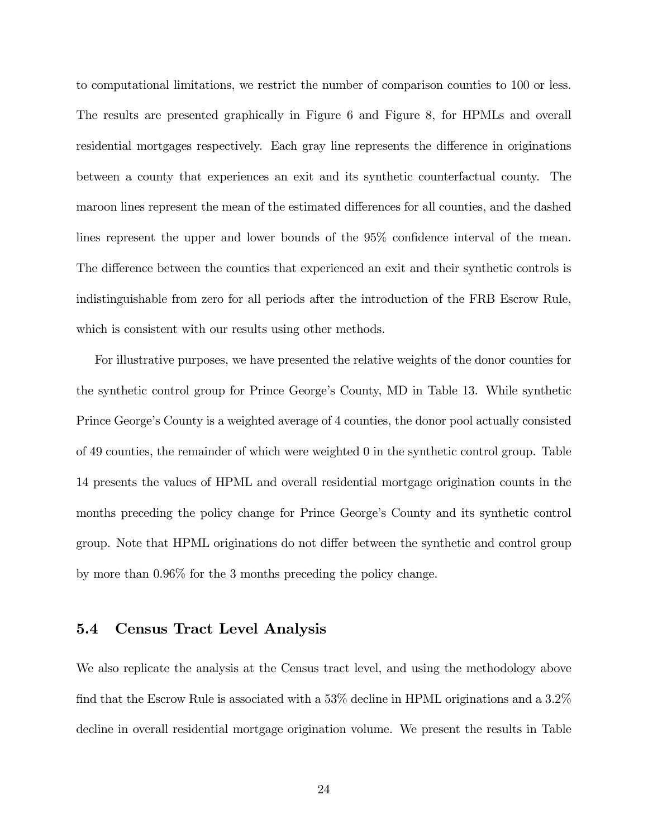to computational limitations, we restrict the number of comparison counties to 100 or less. The results are presented graphically in Figure [6](#page-33-0) and Figure [8,](#page-34-1) for HPMLs and overall residential mortgages respectively. Each gray line represents the difference in originations between a county that experiences an exit and its synthetic counterfactual county. The maroon lines represent the mean of the estimated differences for all counties, and the dashed lines represent the upper and lower bounds of the  $95\%$  confidence interval of the mean. The difference between the counties that experienced an exit and their synthetic controls is indistinguishable from zero for all periods after the introduction of the FRB Escrow Rule, which is consistent with our results using other methods.

For illustrative purposes, we have presented the relative weights of the donor counties for the synthetic control group for Prince George's County, MD in Table [13.](#page-47-0) While synthetic Prince George's County is a weighted average of 4 counties, the donor pool actually consisted of 49 counties, the remainder of which were weighted 0 in the synthetic control group. Table [14](#page-47-1) presents the values of HPML and overall residential mortgage origination counts in the months preceding the policy change for Prince George's County and its synthetic control group. Note that HPML originations do not differ between the synthetic and control group by more than 0.96% for the 3 months preceding the policy change.

#### 5.4 Census Tract Level Analysis

We also replicate the analysis at the Census tract level, and using the methodology above find that the Escrow Rule is associated with a  $53\%$  decline in HPML originations and a  $3.2\%$ decline in overall residential mortgage origination volume. We present the results in Table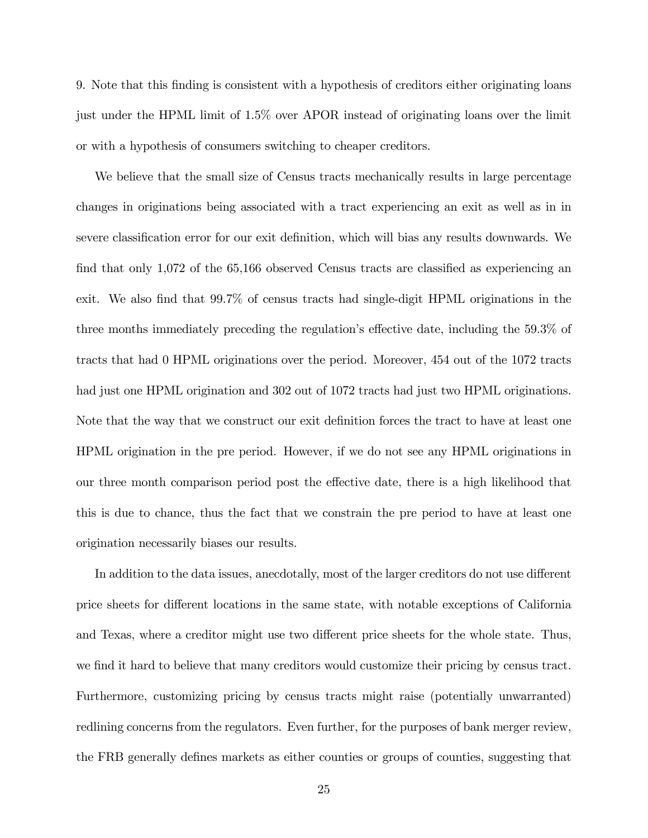[9.](#page-43-0) Note that this Önding is consistent with a hypothesis of creditors either originating loans just under the HPML limit of 1.5% over APOR instead of originating loans over the limit or with a hypothesis of consumers switching to cheaper creditors.

We believe that the small size of Census tracts mechanically results in large percentage changes in originations being associated with a tract experiencing an exit as well as in in severe classification error for our exit definition, which will bias any results downwards. We find that only  $1,072$  of the 65,166 observed Census tracts are classified as experiencing an exit. We also find that 99.7% of census tracts had single-digit HPML originations in the three months immediately preceding the regulation's effective date, including the  $59.3\%$  of tracts that had 0 HPML originations over the period. Moreover, 454 out of the 1072 tracts had just one HPML origination and 302 out of 1072 tracts had just two HPML originations. Note that the way that we construct our exit definition forces the tract to have at least one HPML origination in the pre period. However, if we do not see any HPML originations in our three month comparison period post the effective date, there is a high likelihood that this is due to chance, thus the fact that we constrain the pre period to have at least one origination necessarily biases our results.

In addition to the data issues, anecdotally, most of the larger creditors do not use different price sheets for different locations in the same state, with notable exceptions of California and Texas, where a creditor might use two different price sheets for the whole state. Thus, we find it hard to believe that many creditors would customize their pricing by census tract. Furthermore, customizing pricing by census tracts might raise (potentially unwarranted) redlining concerns from the regulators. Even further, for the purposes of bank merger review, the FRB generally defines markets as either counties or groups of counties, suggesting that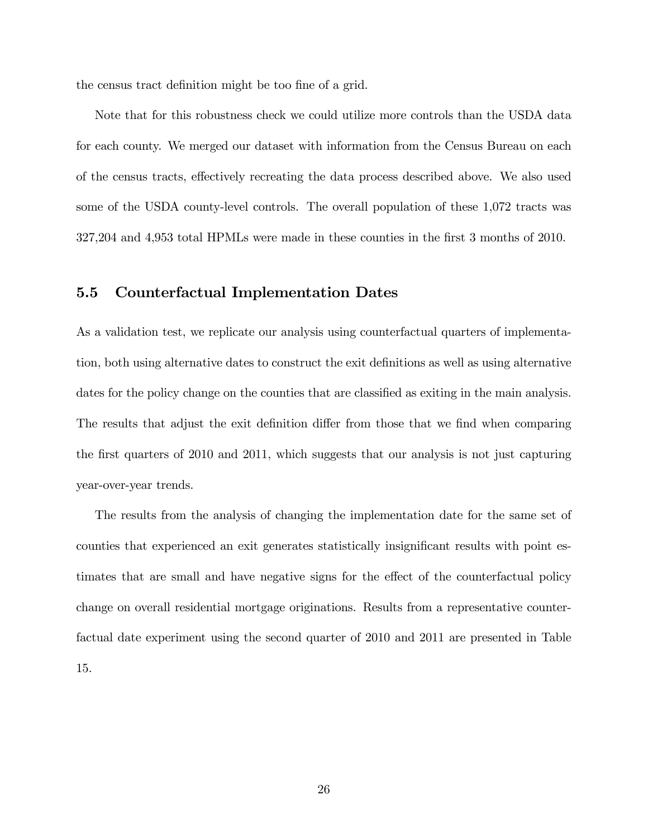the census tract definition might be too fine of a grid.

Note that for this robustness check we could utilize more controls than the USDA data for each county. We merged our dataset with information from the Census Bureau on each of the census tracts, effectively recreating the data process described above. We also used some of the USDA county-level controls. The overall population of these 1,072 tracts was 327,204 and 4,953 total HPMLs were made in these counties in the Örst 3 months of 2010.

#### 5.5 Counterfactual Implementation Dates

As a validation test, we replicate our analysis using counterfactual quarters of implementation, both using alternative dates to construct the exit definitions as well as using alternative dates for the policy change on the counties that are classified as exiting in the main analysis. The results that adjust the exit definition differ from those that we find when comparing the Örst quarters of 2010 and 2011, which suggests that our analysis is not just capturing year-over-year trends.

The results from the analysis of changing the implementation date for the same set of counties that experienced an exit generates statistically insignificant results with point estimates that are small and have negative signs for the effect of the counterfactual policy change on overall residential mortgage originations. Results from a representative counterfactual date experiment using the second quarter of 2010 and 2011 are presented in Table [15.](#page-48-0)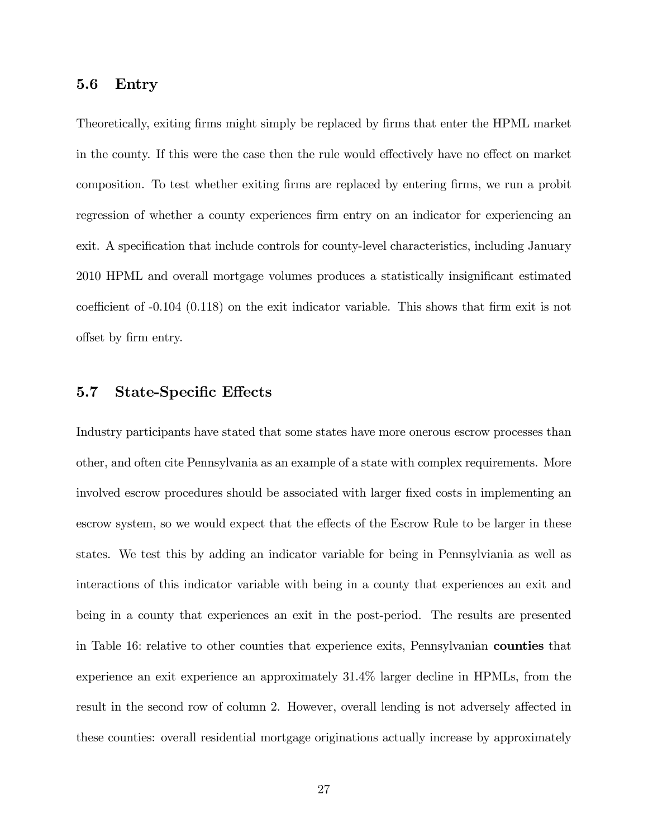#### 5.6 Entry

Theoretically, exiting firms might simply be replaced by firms that enter the HPML market in the county. If this were the case then the rule would effectively have no effect on market composition. To test whether exiting firms are replaced by entering firms, we run a probit regression of whether a county experiences firm entry on an indicator for experiencing an exit. A specification that include controls for county-level characteristics, including January 2010 HPML and overall mortgage volumes produces a statistically insignificant estimated coefficient of  $-0.104$   $(0.118)$  on the exit indicator variable. This shows that firm exit is not offset by firm entry.

#### 5.7 State-Specific Effects

Industry participants have stated that some states have more onerous escrow processes than other, and often cite Pennsylvania as an example of a state with complex requirements. More involved escrow procedures should be associated with larger fixed costs in implementing an escrow system, so we would expect that the effects of the Escrow Rule to be larger in these states. We test this by adding an indicator variable for being in Pennsylviania as well as interactions of this indicator variable with being in a county that experiences an exit and being in a county that experiences an exit in the post-period. The results are presented in Table [16:](#page-49-0) relative to other counties that experience exits, Pennsylvanian counties that experience an exit experience an approximately 31.4% larger decline in HPMLs, from the result in the second row of column 2. However, overall lending is not adversely affected in these counties: overall residential mortgage originations actually increase by approximately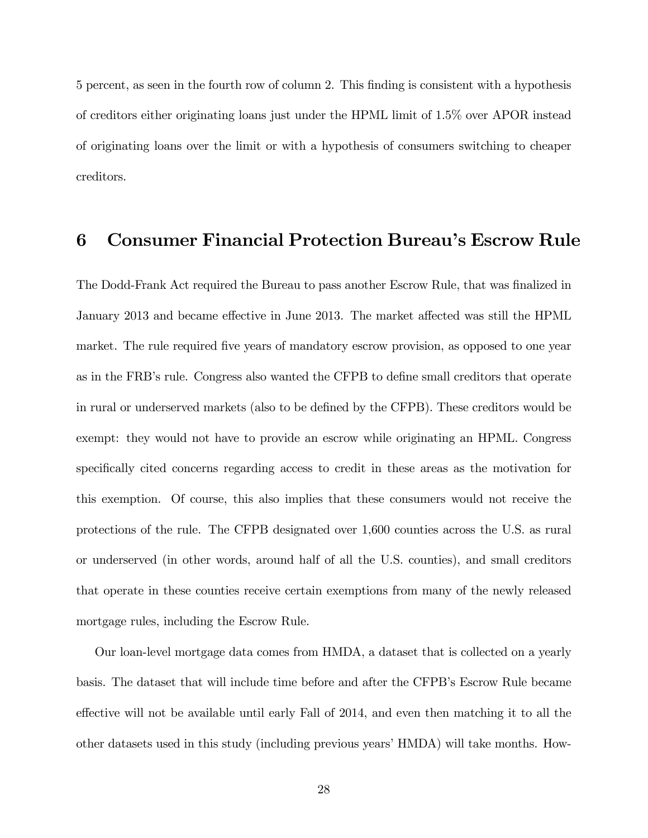5 percent, as seen in the fourth row of column 2. This Önding is consistent with a hypothesis of creditors either originating loans just under the HPML limit of 1.5% over APOR instead of originating loans over the limit or with a hypothesis of consumers switching to cheaper creditors.

## 6 Consumer Financial Protection Bureauís Escrow Rule

The Dodd-Frank Act required the Bureau to pass another Escrow Rule, that was finalized in January 2013 and became effective in June 2013. The market affected was still the HPML market. The rule required five years of mandatory escrow provision, as opposed to one year as in the FRB's rule. Congress also wanted the CFPB to define small creditors that operate in rural or underserved markets (also to be defined by the CFPB). These creditors would be exempt: they would not have to provide an escrow while originating an HPML. Congress specifically cited concerns regarding access to credit in these areas as the motivation for this exemption. Of course, this also implies that these consumers would not receive the protections of the rule. The CFPB designated over 1,600 counties across the U.S. as rural or underserved (in other words, around half of all the U.S. counties), and small creditors that operate in these counties receive certain exemptions from many of the newly released mortgage rules, including the Escrow Rule.

Our loan-level mortgage data comes from HMDA, a dataset that is collected on a yearly basis. The dataset that will include time before and after the CFPB's Escrow Rule became effective will not be available until early Fall of 2014, and even then matching it to all the other datasets used in this study (including previous years' HMDA) will take months. How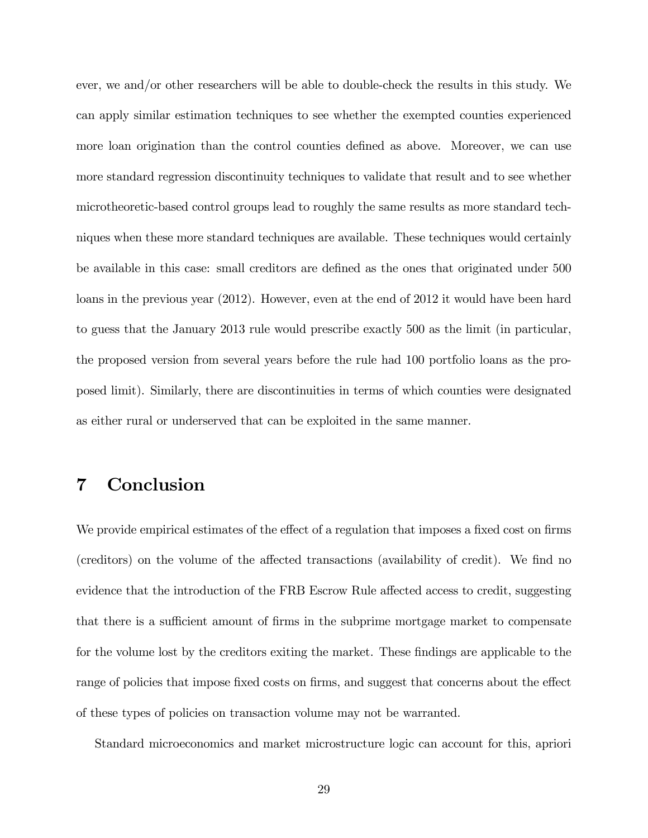ever, we and/or other researchers will be able to double-check the results in this study. We can apply similar estimation techniques to see whether the exempted counties experienced more loan origination than the control counties defined as above. Moreover, we can use more standard regression discontinuity techniques to validate that result and to see whether microtheoretic-based control groups lead to roughly the same results as more standard techniques when these more standard techniques are available. These techniques would certainly be available in this case: small creditors are defined as the ones that originated under 500 loans in the previous year (2012). However, even at the end of 2012 it would have been hard to guess that the January 2013 rule would prescribe exactly 500 as the limit (in particular, the proposed version from several years before the rule had 100 portfolio loans as the proposed limit). Similarly, there are discontinuities in terms of which counties were designated as either rural or underserved that can be exploited in the same manner.

## 7 Conclusion

We provide empirical estimates of the effect of a regulation that imposes a fixed cost on firms (creditors) on the volume of the affected transactions (availability of credit). We find no evidence that the introduction of the FRB Escrow Rule affected access to credit, suggesting that there is a sufficient amount of firms in the subprime mortgage market to compensate for the volume lost by the creditors exiting the market. These findings are applicable to the range of policies that impose fixed costs on firms, and suggest that concerns about the effect of these types of policies on transaction volume may not be warranted.

Standard microeconomics and market microstructure logic can account for this, apriori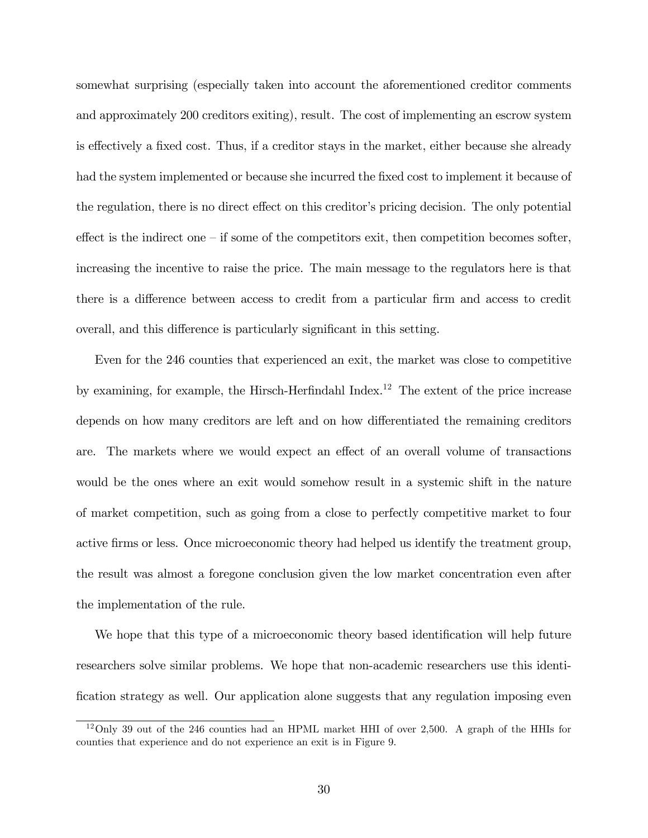somewhat surprising (especially taken into account the aforementioned creditor comments and approximately 200 creditors exiting), result. The cost of implementing an escrow system is effectively a fixed cost. Thus, if a creditor stays in the market, either because she already had the system implemented or because she incurred the fixed cost to implement it because of the regulation, there is no direct effect on this creditor's pricing decision. The only potential effect is the indirect one  $\overline{-}$  if some of the competitors exit, then competition becomes softer, increasing the incentive to raise the price. The main message to the regulators here is that there is a difference between access to credit from a particular firm and access to credit overall, and this difference is particularly significant in this setting.

Even for the 246 counties that experienced an exit, the market was close to competitive by examining, for example, the Hirsch-Herfindahl Index.<sup>[12](#page-0-0)</sup> The extent of the price increase depends on how many creditors are left and on how differentiated the remaining creditors are. The markets where we would expect an effect of an overall volume of transactions would be the ones where an exit would somehow result in a systemic shift in the nature of market competition, such as going from a close to perfectly competitive market to four active Örms or less. Once microeconomic theory had helped us identify the treatment group, the result was almost a foregone conclusion given the low market concentration even after the implementation of the rule.

We hope that this type of a microeconomic theory based identification will help future researchers solve similar problems. We hope that non-academic researchers use this identification strategy as well. Our application alone suggests that any regulation imposing even

<sup>12</sup>Only 39 out of the 246 counties had an HPML market HHI of over 2,500. A graph of the HHIs for counties that experience and do not experience an exit is in Figure [9.](#page-35-0)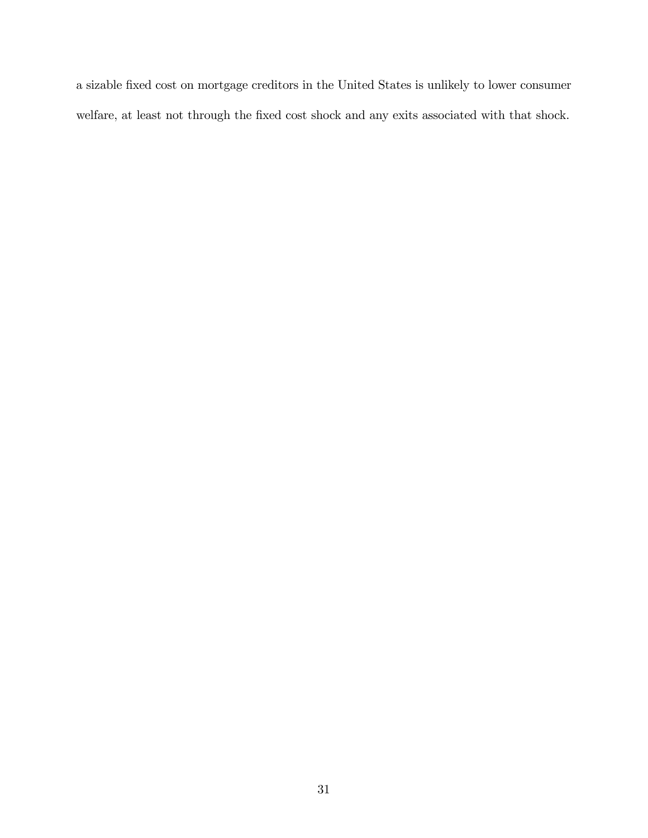a sizable Öxed cost on mortgage creditors in the United States is unlikely to lower consumer welfare, at least not through the fixed cost shock and any exits associated with that shock.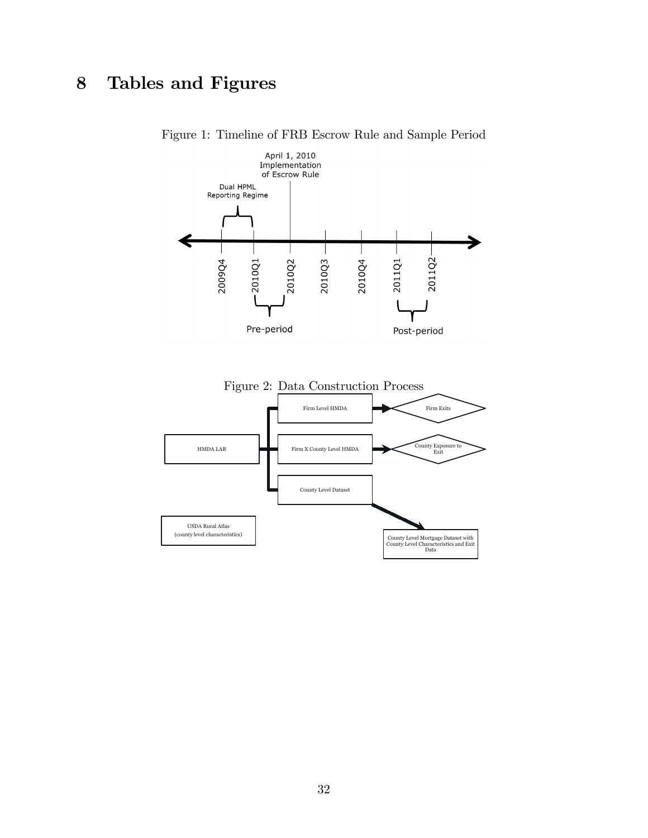## 8 Tables and Figures

<span id="page-31-1"></span>

<span id="page-31-0"></span>Figure 1: Timeline of FRB Escrow Rule and Sample Period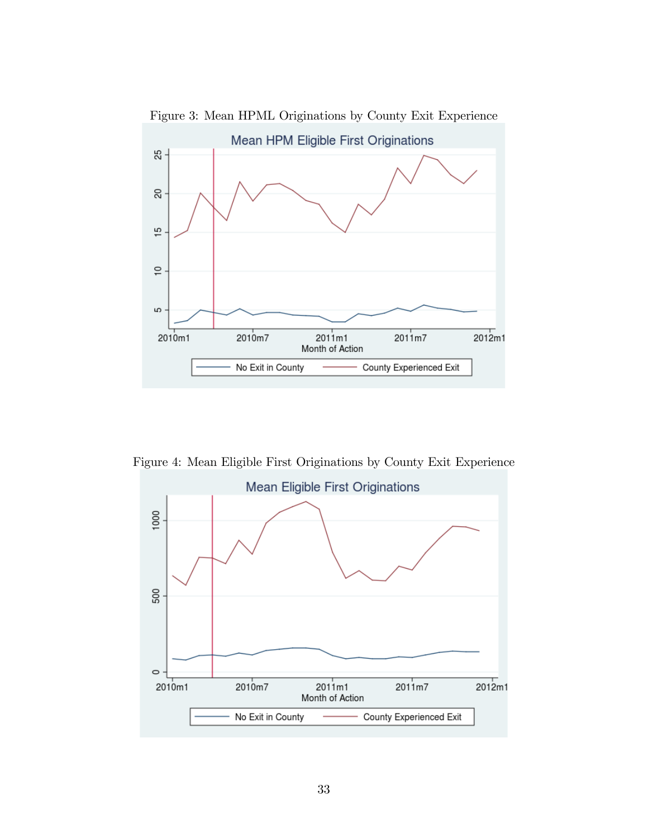

<span id="page-32-0"></span>Figure 3: Mean HPML Originations by County Exit Experience

Figure 4: Mean Eligible First Originations by County Exit Experience

<span id="page-32-1"></span>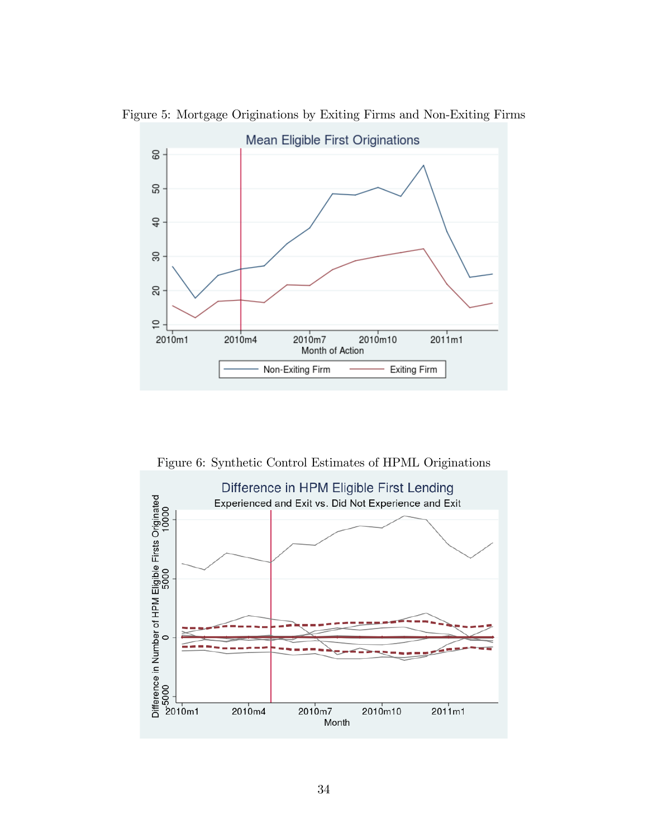

Figure 5: Mortgage Originations by Exiting Firms and Non-Exiting Firms

<span id="page-33-0"></span>Figure 6: Synthetic Control Estimates of HPML Originations

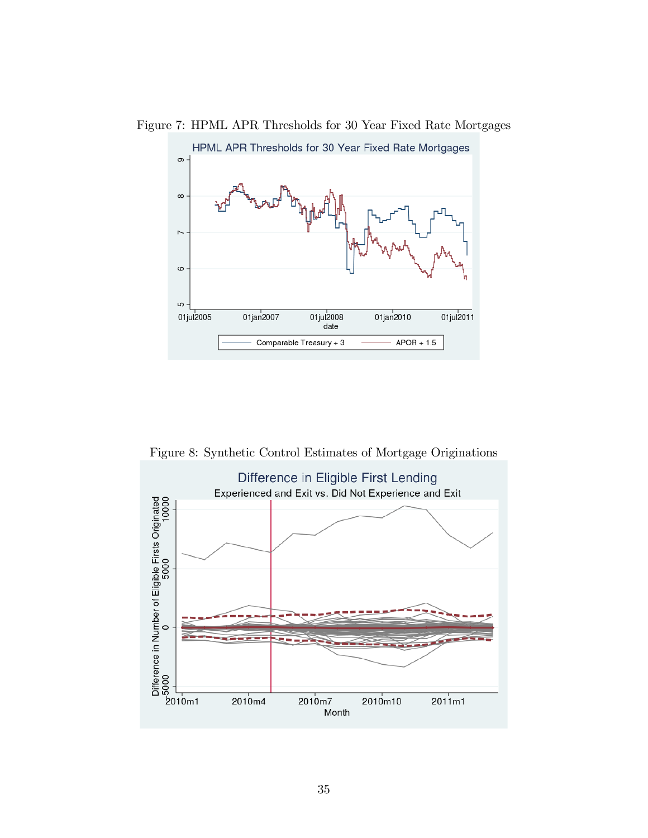<span id="page-34-0"></span>

Figure 7: HPML APR Thresholds for 30 Year Fixed Rate Mortgages

<span id="page-34-1"></span>Figure 8: Synthetic Control Estimates of Mortgage Originations

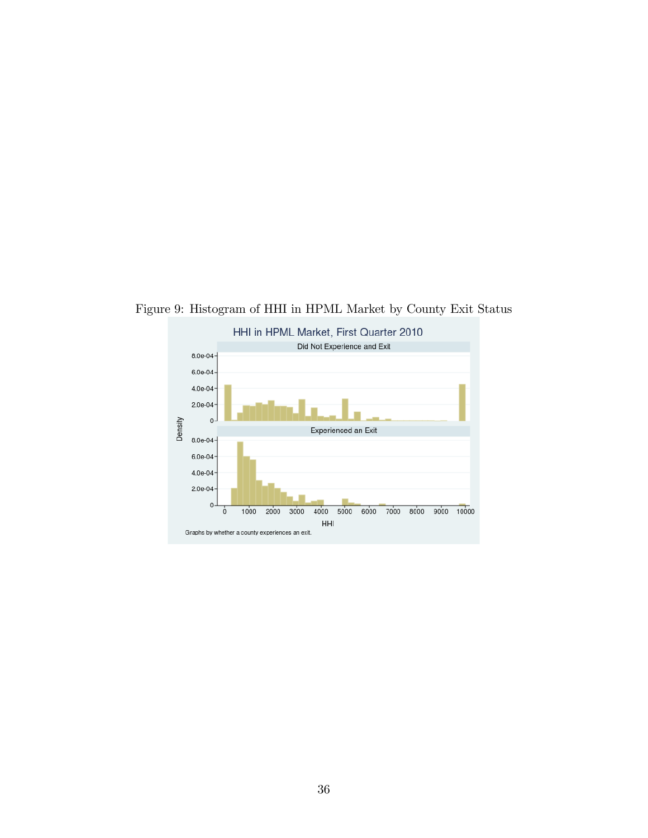<span id="page-35-0"></span>

Figure 9: Histogram of HHI in HPML Market by County Exit Status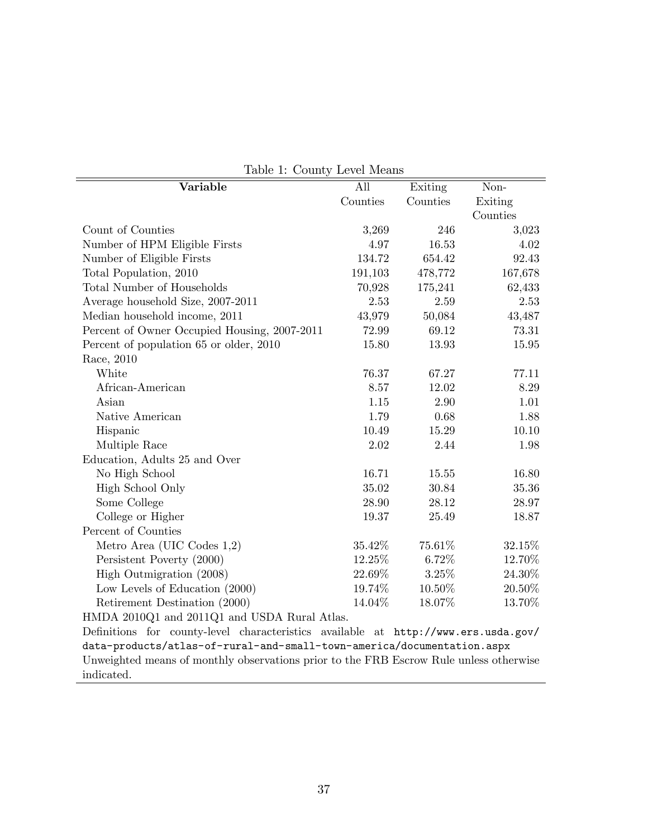| Variable                                                                               | All      | Exiting  | Non-     |
|----------------------------------------------------------------------------------------|----------|----------|----------|
|                                                                                        | Counties | Counties | Exiting  |
|                                                                                        |          |          | Counties |
| Count of Counties                                                                      | 3,269    | 246      | 3,023    |
| Number of HPM Eligible Firsts                                                          | 4.97     | 16.53    | 4.02     |
| Number of Eligible Firsts                                                              | 134.72   | 654.42   | 92.43    |
| Total Population, 2010                                                                 | 191,103  | 478,772  | 167,678  |
| <b>Total Number of Households</b>                                                      | 70,928   | 175,241  | 62,433   |
| Average household Size, 2007-2011                                                      | 2.53     | 2.59     | 2.53     |
| Median household income, 2011                                                          | 43,979   | 50,084   | 43,487   |
| Percent of Owner Occupied Housing, 2007-2011                                           | 72.99    | 69.12    | 73.31    |
| Percent of population 65 or older, 2010                                                | 15.80    | 13.93    | 15.95    |
| Race, 2010                                                                             |          |          |          |
| White                                                                                  | 76.37    | 67.27    | 77.11    |
| African-American                                                                       | 8.57     | 12.02    | 8.29     |
| Asian                                                                                  | 1.15     | 2.90     | 1.01     |
| Native American                                                                        | 1.79     | 0.68     | 1.88     |
| Hispanic                                                                               | 10.49    | 15.29    | 10.10    |
| Multiple Race                                                                          | 2.02     | 2.44     | 1.98     |
| Education, Adults 25 and Over                                                          |          |          |          |
| No High School                                                                         | 16.71    | 15.55    | 16.80    |
| High School Only                                                                       | 35.02    | 30.84    | 35.36    |
| Some College                                                                           | 28.90    | 28.12    | 28.97    |
| College or Higher                                                                      | 19.37    | 25.49    | 18.87    |
| Percent of Counties                                                                    |          |          |          |
| Metro Area (UIC Codes $1,2$ )                                                          | 35.42%   | 75.61%   | 32.15%   |
| Persistent Poverty (2000)                                                              | 12.25%   | 6.72%    | 12.70%   |
| High Outmigration (2008)                                                               | 22.69%   | $3.25\%$ | 24.30%   |
| Low Levels of Education (2000)                                                         | 19.74%   | 10.50%   | 20.50%   |
| Retirement Destination (2000)                                                          | 14.04%   | 18.07%   | 13.70%   |
| HMDA 2010Q1 and 2011Q1 and USDA Rural Atlas.                                           |          |          |          |
| Definitions for county-level characteristics available at http://www.ers.usda.gov/     |          |          |          |
| data-products/atlas-of-rural-and-small-town-america/documentation.aspx                 |          |          |          |
| Unweighted means of monthly observations prior to the FRB Escrow Rule unless otherwise |          |          |          |

<span id="page-36-0"></span>Table 1: County Level Means

indicated.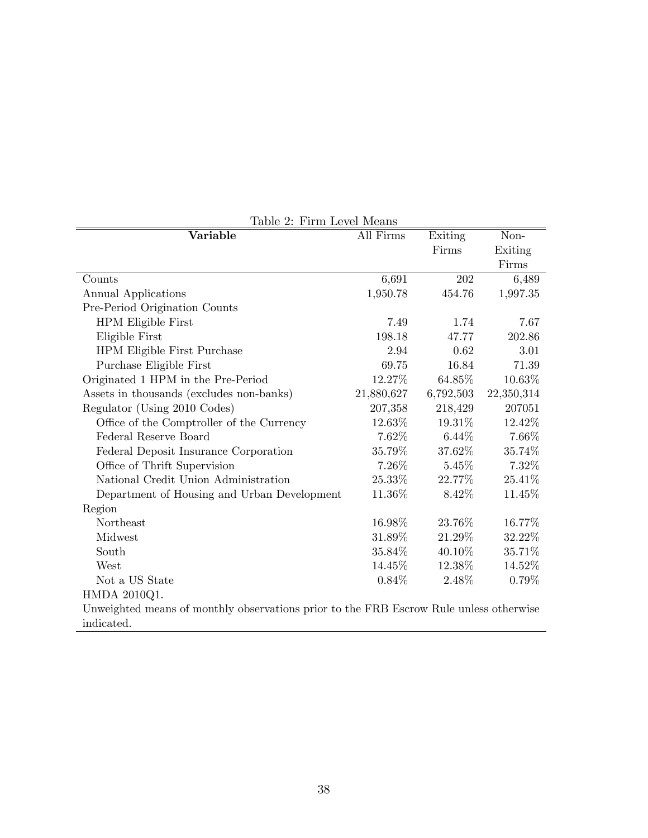<span id="page-37-0"></span>

| Table 2: Firm Level Means                                                              |            |           |            |  |  |  |
|----------------------------------------------------------------------------------------|------------|-----------|------------|--|--|--|
| Variable                                                                               | All Firms  | Exiting   | Non-       |  |  |  |
|                                                                                        |            | Firms     | Exiting    |  |  |  |
|                                                                                        |            |           | Firms      |  |  |  |
| Counts                                                                                 | 6,691      | 202       | 6,489      |  |  |  |
| Annual Applications                                                                    | 1,950.78   | 454.76    | 1,997.35   |  |  |  |
| Pre-Period Origination Counts                                                          |            |           |            |  |  |  |
| HPM Eligible First                                                                     | 7.49       | 1.74      | 7.67       |  |  |  |
| Eligible First                                                                         | 198.18     | 47.77     | 202.86     |  |  |  |
| HPM Eligible First Purchase                                                            | 2.94       | 0.62      | 3.01       |  |  |  |
| Purchase Eligible First                                                                | 69.75      | 16.84     | 71.39      |  |  |  |
| Originated 1 HPM in the Pre-Period                                                     | 12.27%     | 64.85%    | 10.63%     |  |  |  |
| Assets in thousands (excludes non-banks)                                               | 21,880,627 | 6,792,503 | 22,350,314 |  |  |  |
| Regulator (Using 2010 Codes)                                                           | 207,358    | 218,429   | 207051     |  |  |  |
| Office of the Comptroller of the Currency                                              | 12.63\%    | 19.31\%   | 12.42%     |  |  |  |
| Federal Reserve Board                                                                  | 7.62%      | $6.44\%$  | 7.66%      |  |  |  |
| Federal Deposit Insurance Corporation                                                  | 35.79%     | 37.62%    | 35.74%     |  |  |  |
| Office of Thrift Supervision                                                           | 7.26%      | $5.45\%$  | 7.32%      |  |  |  |
| National Credit Union Administration                                                   | 25.33%     | 22.77%    | 25.41%     |  |  |  |
| Department of Housing and Urban Development                                            | 11.36%     | 8.42\%    | 11.45%     |  |  |  |
| Region                                                                                 |            |           |            |  |  |  |
| Northeast                                                                              | 16.98%     | 23.76%    | 16.77%     |  |  |  |
| Midwest                                                                                | 31.89%     | 21.29%    | 32.22\%    |  |  |  |
| South                                                                                  | 35.84%     | 40.10%    | 35.71%     |  |  |  |
| West                                                                                   | 14.45%     | 12.38%    | 14.52%     |  |  |  |
| Not a US State                                                                         | $0.84\%$   | 2.48\%    | $0.79\%$   |  |  |  |
| HMDA 2010Q1.                                                                           |            |           |            |  |  |  |
| Unweighted means of monthly observations prior to the FRB Escrow Rule unless otherwise |            |           |            |  |  |  |
| indicated.                                                                             |            |           |            |  |  |  |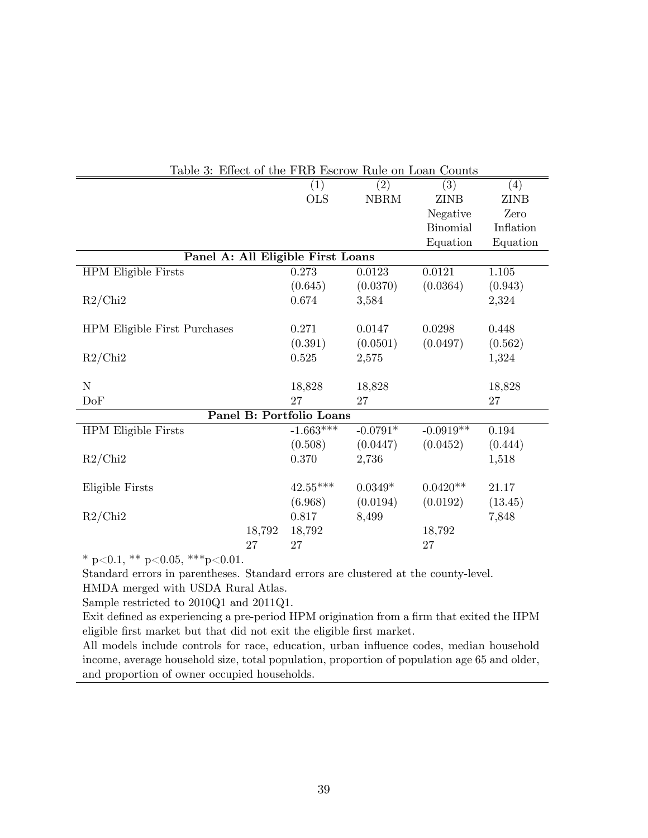<span id="page-38-0"></span>

|                                     | Table 3: Effect of the FRB Escrow Rule on Loan Counts |                                   |                   |                   |             |  |  |  |
|-------------------------------------|-------------------------------------------------------|-----------------------------------|-------------------|-------------------|-------------|--|--|--|
|                                     |                                                       | (1)                               | $\left( 2\right)$ | $\left( 3\right)$ | (4)         |  |  |  |
|                                     |                                                       | <b>OLS</b>                        | <b>NBRM</b>       | <b>ZINB</b>       | <b>ZINB</b> |  |  |  |
|                                     |                                                       |                                   |                   | Negative          | Zero        |  |  |  |
|                                     |                                                       |                                   |                   | <b>Binomial</b>   | Inflation   |  |  |  |
|                                     |                                                       |                                   |                   | Equation          | Equation    |  |  |  |
|                                     |                                                       | Panel A: All Eligible First Loans |                   |                   |             |  |  |  |
| <b>HPM</b> Eligible Firsts          |                                                       | 0.273                             | 0.0123            | 0.0121            | $1.105\,$   |  |  |  |
|                                     |                                                       | (0.645)                           | (0.0370)          | (0.0364)          | (0.943)     |  |  |  |
| R2/Chi2                             |                                                       | 0.674                             | 3,584             |                   | 2,324       |  |  |  |
|                                     |                                                       |                                   |                   |                   |             |  |  |  |
| <b>HPM Eligible First Purchases</b> |                                                       | 0.271                             | 0.0147            | 0.0298            | 0.448       |  |  |  |
|                                     |                                                       | (0.391)                           | (0.0501)          | (0.0497)          | (0.562)     |  |  |  |
| R2/Chi2                             |                                                       | 0.525                             | 2,575             |                   | 1,324       |  |  |  |
|                                     |                                                       |                                   |                   |                   |             |  |  |  |
| N                                   |                                                       | 18,828                            | 18,828            |                   | 18,828      |  |  |  |
| DoF                                 |                                                       | 27                                | 27                |                   | 27          |  |  |  |
|                                     |                                                       | Panel B: Portfolio Loans          |                   |                   |             |  |  |  |
| <b>HPM</b> Eligible Firsts          |                                                       | $-1.663***$                       | $-0.0791*$        | $-0.0919**$       | 0.194       |  |  |  |
|                                     |                                                       | (0.508)                           | (0.0447)          | (0.0452)          | (0.444)     |  |  |  |
| R2/Chi2                             |                                                       | 0.370                             | 2,736             |                   | 1,518       |  |  |  |
|                                     |                                                       |                                   |                   |                   |             |  |  |  |
| Eligible Firsts                     |                                                       | $42.55***$                        | $0.0349*$         | $0.0420**$        | 21.17       |  |  |  |
|                                     |                                                       | (6.968)                           | (0.0194)          | (0.0192)          | (13.45)     |  |  |  |
| R2/Chi2                             |                                                       | 0.817                             | 8,499             |                   | 7,848       |  |  |  |
|                                     | 18,792                                                | 18,792                            |                   | 18,792            |             |  |  |  |
|                                     | 27                                                    | 27                                |                   | 27                |             |  |  |  |

Standard errors in parentheses. Standard errors are clustered at the county-level. HMDA merged with USDA Rural Atlas.

Sample restricted to 2010Q1 and 2011Q1.

Exit defined as experiencing a pre-period HPM origination from a firm that exited the HPM eligible first market but that did not exit the eligible first market.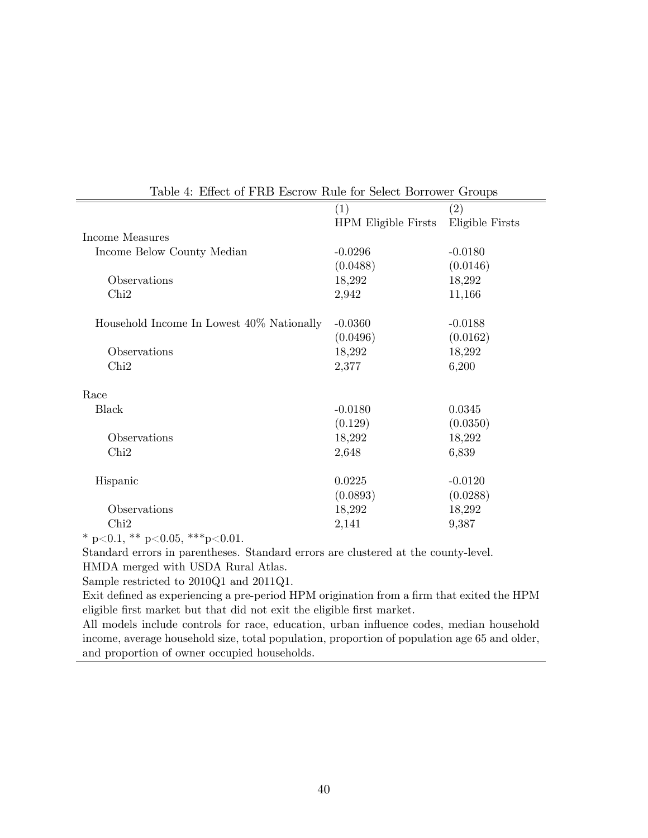|                                   | (2)                            |
|-----------------------------------|--------------------------------|
| (1)<br><b>HPM Eligible Firsts</b> | Eligible Firsts                |
|                                   |                                |
| $-0.0296$                         | $-0.0180$                      |
| (0.0488)                          | (0.0146)                       |
| 18,292                            | 18,292                         |
| 2,942                             | 11,166                         |
|                                   |                                |
| $-0.0360$                         | $-0.0188$                      |
| (0.0496)                          | (0.0162)                       |
| 18,292                            | 18,292                         |
| 2,377                             | 6,200                          |
|                                   |                                |
|                                   | 0.0345                         |
|                                   | (0.0350)                       |
|                                   | 18,292                         |
| 2,648                             | 6,839                          |
|                                   |                                |
| 0.0225                            | $-0.0120$                      |
| (0.0893)                          | (0.0288)                       |
| 18,292                            | 18,292                         |
| 2,141                             | 9,387                          |
|                                   | $-0.0180$<br>(0.129)<br>18,292 |

<span id="page-39-0"></span>

|  |  |  |  |  |  |  | Table 4: Effect of FRB Escrow Rule for Select Borrower Groups |  |
|--|--|--|--|--|--|--|---------------------------------------------------------------|--|
|--|--|--|--|--|--|--|---------------------------------------------------------------|--|

Standard errors in parentheses. Standard errors are clustered at the county-level. HMDA merged with USDA Rural Atlas.

Sample restricted to 2010Q1 and 2011Q1.

Exit defined as experiencing a pre-period HPM origination from a firm that exited the HPM eligible first market but that did not exit the eligible first market.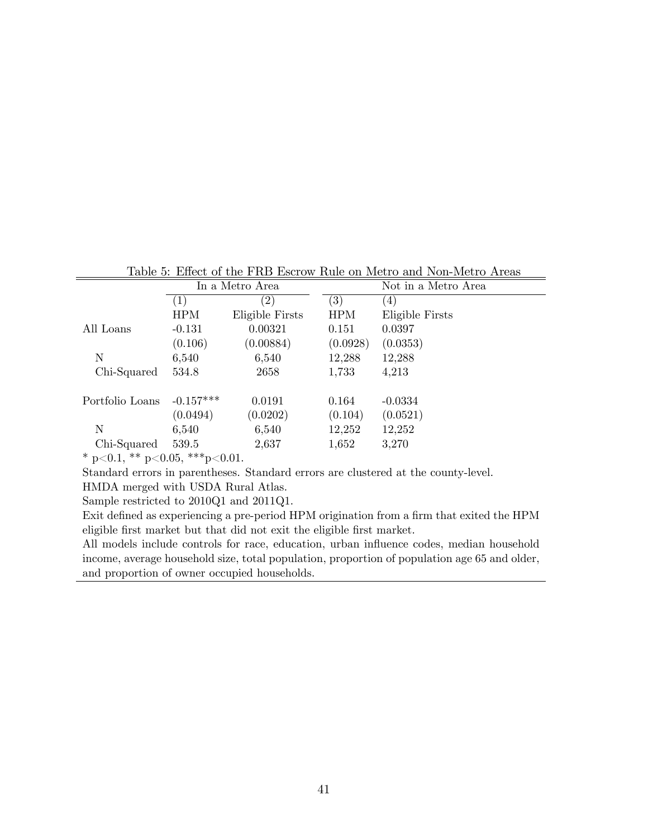<span id="page-40-0"></span>Table 5: Effect of the FRB Escrow Rule on Metro and Non-Metro Areas

| Table 9. Effect of the LTD ESCION Tutle on Metro and Non-Metro Areas |             |                   |                  |                     |  |  |
|----------------------------------------------------------------------|-------------|-------------------|------------------|---------------------|--|--|
| In a Metro Area                                                      |             |                   |                  | Not in a Metro Area |  |  |
|                                                                      | $(\perp)$   | $\left( 2\right)$ | $\left(3\right)$ | (4)                 |  |  |
|                                                                      | HPM         | Eligible Firsts   | <b>HPM</b>       | Eligible Firsts     |  |  |
| All Loans                                                            | $-0.131$    | 0.00321           | 0.151            | 0.0397              |  |  |
|                                                                      | (0.106)     | (0.00884)         | (0.0928)         | (0.0353)            |  |  |
| N                                                                    | 6,540       | 6,540             | 12,288           | 12,288              |  |  |
| Chi-Squared                                                          | 534.8       | 2658              | 1,733            | 4,213               |  |  |
|                                                                      |             |                   |                  |                     |  |  |
| Portfolio Loans                                                      | $-0.157***$ | 0.0191            | 0.164            | $-0.0334$           |  |  |
|                                                                      | (0.0494)    | (0.0202)          | (0.104)          | (0.0521)            |  |  |
| N                                                                    | 6,540       | 6,540             | 12,252           | 12,252              |  |  |
| Chi-Squared                                                          | 539.5       | 2,637             | 1,652            | 3,270               |  |  |
|                                                                      |             |                   |                  |                     |  |  |

Standard errors in parentheses. Standard errors are clustered at the county-level.

HMDA merged with USDA Rural Atlas.

Sample restricted to 2010Q1 and 2011Q1.

Exit defined as experiencing a pre-period HPM origination from a firm that exited the HPM eligible Örst market but that did not exit the eligible Örst market.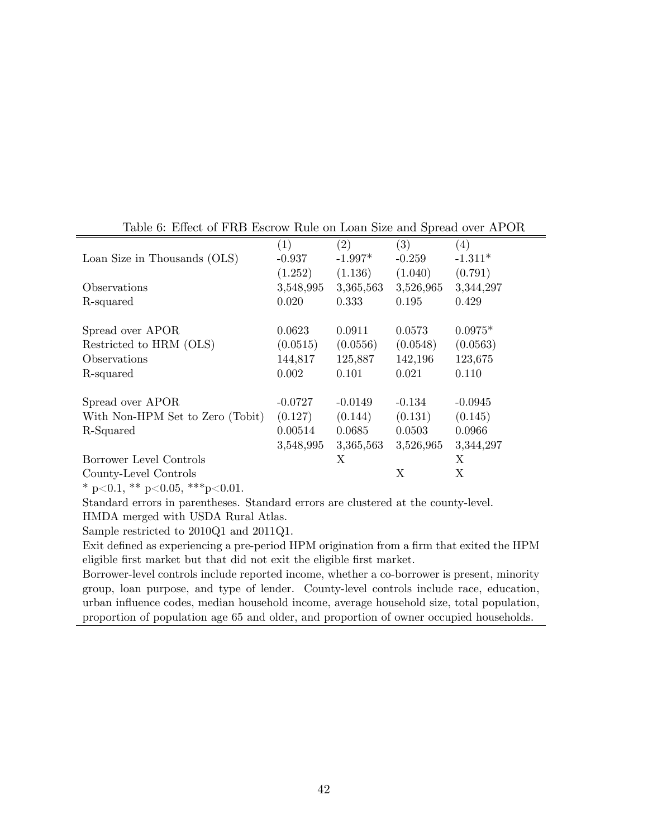|                                  | (1)       | (2)       | (3)       | (4)       |
|----------------------------------|-----------|-----------|-----------|-----------|
| Loan Size in Thousands (OLS)     | $-0.937$  | $-1.997*$ | $-0.259$  | $-1.311*$ |
|                                  | (1.252)   | (1.136)   | (1.040)   | (0.791)   |
| Observations                     | 3,548,995 | 3,365,563 | 3,526,965 | 3,344,297 |
| R-squared                        | 0.020     | 0.333     | 0.195     | 0.429     |
| Spread over APOR                 | 0.0623    | 0.0911    | 0.0573    | $0.0975*$ |
| Restricted to HRM (OLS)          | (0.0515)  | (0.0556)  | (0.0548)  | (0.0563)  |
| Observations                     | 144,817   | 125,887   | 142,196   | 123,675   |
| R-squared                        | 0.002     | 0.101     | 0.021     | 0.110     |
| Spread over APOR                 | $-0.0727$ | $-0.0149$ | $-0.134$  | $-0.0945$ |
| With Non-HPM Set to Zero (Tobit) | (0.127)   | (0.144)   | (0.131)   | (0.145)   |
| R-Squared                        | 0.00514   | 0.0685    | 0.0503    | 0.0966    |
|                                  | 3,548,995 | 3,365,563 | 3,526,965 | 3,344,297 |
| Borrower Level Controls          |           | X         |           | X         |
| County-Level Controls            |           |           | X         | X         |

<span id="page-41-0"></span>Table 6: Effect of FRB Escrow Rule on Loan Size and Spread over APOR

Standard errors in parentheses. Standard errors are clustered at the county-level. HMDA merged with USDA Rural Atlas.

Sample restricted to 2010Q1 and 2011Q1.

Exit defined as experiencing a pre-period HPM origination from a firm that exited the HPM eligible first market but that did not exit the eligible first market.

Borrower-level controls include reported income, whether a co-borrower is present, minority group, loan purpose, and type of lender. County-level controls include race, education, urban ináuence codes, median household income, average household size, total population, proportion of population age 65 and older, and proportion of owner occupied households.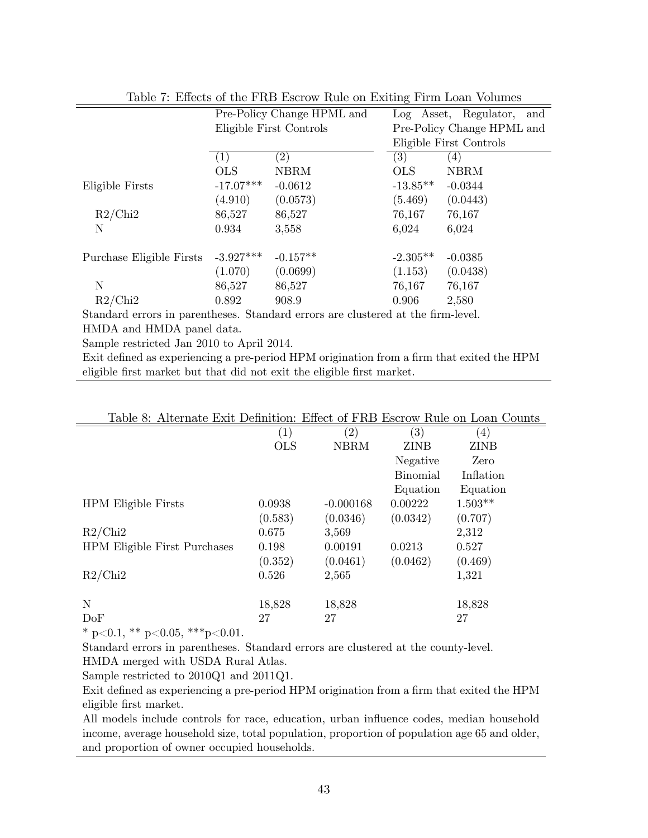|                          |             | Pre-Policy Change HPML and | Log Asset, Regulator,<br>and |                            |  |  |  |
|--------------------------|-------------|----------------------------|------------------------------|----------------------------|--|--|--|
|                          |             | Eligible First Controls    |                              | Pre-Policy Change HPML and |  |  |  |
|                          |             |                            |                              | Eligible First Controls    |  |  |  |
|                          | (1)         | $\left( 2\right)$          | (3)                          | $\left(4\right)$           |  |  |  |
|                          | <b>OLS</b>  | <b>NBRM</b>                | <b>OLS</b>                   | <b>NBRM</b>                |  |  |  |
| Eligible Firsts          | $-17.07***$ | $-0.0612$                  | $-13.85**$                   | $-0.0344$                  |  |  |  |
|                          | (4.910)     | (0.0573)                   | (5.469)                      | (0.0443)                   |  |  |  |
| R2/Chi2                  | 86,527      | 86,527                     | 76,167                       | 76,167                     |  |  |  |
| N                        | 0.934       | 3,558                      | 6,024                        | 6,024                      |  |  |  |
| Purchase Eligible Firsts | $-3.927***$ | $-0.157**$                 | $-2.305**$                   | $-0.0385$                  |  |  |  |
|                          | (1.070)     | (0.0699)                   | (1.153)                      | (0.0438)                   |  |  |  |
| N                        | 86,527      | 86,527                     | 76,167                       | 76,167                     |  |  |  |
| R2/Chi2                  | 0.892       | 908.9                      | 0.906                        | 2,580                      |  |  |  |

<span id="page-42-0"></span>Table 7: Effects of the FRB Escrow Rule on Exiting Firm Loan Volumes

Standard errors in parentheses. Standard errors are clustered at the firm-level.

HMDA and HMDA panel data.

Sample restricted Jan 2010 to April 2014.

Exit defined as experiencing a pre-period HPM origination from a firm that exited the HPM eligible first market but that did not exit the eligible first market.

| Table 8: Alternate Exit Definition: Effect of FRB Escrow Rule on Loan Counts |                  |             |                   |                  |
|------------------------------------------------------------------------------|------------------|-------------|-------------------|------------------|
|                                                                              | $\left(1\right)$ | (2)         | $\left( 3\right)$ | $\left(4\right)$ |
|                                                                              | <b>OLS</b>       | <b>NBRM</b> | ZINB              | <b>ZINB</b>      |
|                                                                              |                  |             | Negative          | Zero             |
|                                                                              |                  |             | <b>Binomial</b>   | Inflation        |
|                                                                              |                  |             | Equation          | Equation         |
| <b>HPM</b> Eligible Firsts                                                   | 0.0938           | $-0.000168$ | 0.00222           | $1.503**$        |
|                                                                              | (0.583)          | (0.0346)    | (0.0342)          | (0.707)          |
| R2/Chi2                                                                      | 0.675            | 3,569       |                   | 2,312            |
| <b>HPM</b> Eligible First Purchases                                          | 0.198            | 0.00191     | 0.0213            | 0.527            |
|                                                                              | (0.352)          | (0.0461)    | (0.0462)          | (0.469)          |
| R2/Chi2                                                                      | 0.526            | 2,565       |                   | 1,321            |
|                                                                              |                  |             |                   |                  |
| N                                                                            | 18,828           | 18,828      |                   | 18,828           |
| DoF                                                                          | 27               | 27          |                   | 27               |
|                                                                              |                  |             |                   |                  |

<span id="page-42-1"></span>

\* p<0.1, \*\* p<0.05, \*\*\* p<0.01.

Standard errors in parentheses. Standard errors are clustered at the county-level. HMDA merged with USDA Rural Atlas.

Sample restricted to 2010Q1 and 2011Q1.

Exit defined as experiencing a pre-period HPM origination from a firm that exited the HPM eligible Örst market.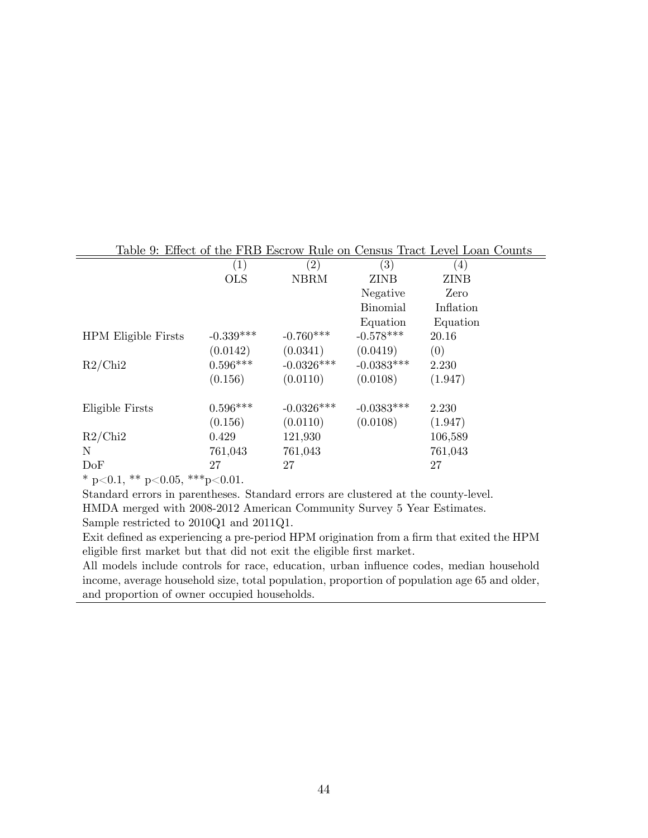|                                                  |             |              |                   | Table 9: Effect of the FRB Escrow Rule on Census Tract Level Loan Counts |
|--------------------------------------------------|-------------|--------------|-------------------|--------------------------------------------------------------------------|
|                                                  | (1)         | (2)          | $\left( 3\right)$ | (4)                                                                      |
|                                                  | <b>OLS</b>  | <b>NBRM</b>  | ZINB              | <b>ZINB</b>                                                              |
|                                                  |             |              | Negative          | Zero                                                                     |
|                                                  |             |              | <b>Binomial</b>   | Inflation                                                                |
|                                                  |             |              | Equation          | Equation                                                                 |
| <b>HPM</b> Eligible Firsts                       | $-0.339***$ | $-0.760***$  | $-0.578***$       | 20.16                                                                    |
|                                                  | (0.0142)    | (0.0341)     | (0.0419)          | (0)                                                                      |
| R2/Chi2                                          | $0.596***$  | $-0.0326***$ | $-0.0383***$      | 2.230                                                                    |
|                                                  | (0.156)     | (0.0110)     | (0.0108)          | (1.947)                                                                  |
| Eligible Firsts                                  | $0.596***$  | $-0.0326***$ | $-0.0383***$      | 2.230                                                                    |
|                                                  | (0.156)     | (0.0110)     | (0.0108)          | (1.947)                                                                  |
| R2/Chi2                                          | 0.429       | 121,930      |                   | 106,589                                                                  |
| N                                                | 761,043     | 761,043      |                   | 761,043                                                                  |
| DoF                                              | 27          | 27           |                   | 27                                                                       |
| $*$ $\sim$ 0.1 $**$ $\sim$ 0.0 $***$ $\sim$ 0.01 |             |              |                   |                                                                          |

#### <span id="page-43-0"></span>Table 9: Effect of the FRB Escrow Rule on Census Tract Level Loan Counts

\* p<0.1, \*\* p<0.05, \*\*\* p<0.01.

Standard errors in parentheses. Standard errors are clustered at the county-level. HMDA merged with 2008-2012 American Community Survey 5 Year Estimates.

Sample restricted to 2010Q1 and 2011Q1.

Exit defined as experiencing a pre-period HPM origination from a firm that exited the HPM eligible first market but that did not exit the eligible first market.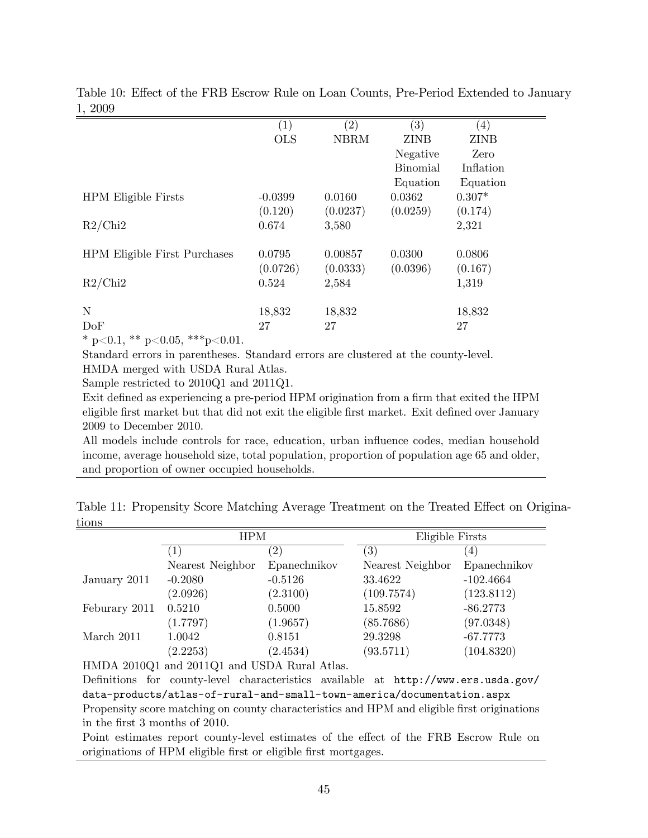|                                                           | (1)        | (2)         | (3)             | $\left(4\right)$ |  |
|-----------------------------------------------------------|------------|-------------|-----------------|------------------|--|
|                                                           | <b>OLS</b> | <b>NBRM</b> | <b>ZINB</b>     | <b>ZINB</b>      |  |
|                                                           |            |             | Negative        | Zero             |  |
|                                                           |            |             | <b>Binomial</b> | Inflation        |  |
|                                                           |            |             | Equation        | Equation         |  |
| <b>HPM</b> Eligible Firsts                                | $-0.0399$  | 0.0160      | 0.0362          | $0.307*$         |  |
|                                                           | (0.120)    | (0.0237)    | (0.0259)        | (0.174)          |  |
| R2/Chi2                                                   | 0.674      | 3,580       |                 | 2,321            |  |
|                                                           |            |             |                 |                  |  |
| <b>HPM Eligible First Purchases</b>                       | 0.0795     | 0.00857     | 0.0300          | 0.0806           |  |
|                                                           | (0.0726)   | (0.0333)    | (0.0396)        | (0.167)          |  |
| R2/Chi2                                                   | 0.524      | 2,584       |                 | 1,319            |  |
|                                                           |            |             |                 |                  |  |
| N                                                         | 18,832     | 18,832      |                 | 18,832           |  |
| DoF                                                       | 27         | 27          |                 | 27               |  |
| $\star$ . 0.1 $\star\star$ . 0.0 $\star\star\star$ . 0.01 |            |             |                 |                  |  |

<span id="page-44-0"></span>Table 10: Effect of the FRB Escrow Rule on Loan Counts, Pre-Period Extended to January 1, 2009

\* p<0.1, \*\* p<0.05, \*\*\* p<0.01.

Standard errors in parentheses. Standard errors are clustered at the county-level. HMDA merged with USDA Rural Atlas.

Sample restricted to 2010Q1 and 2011Q1.

Exit defined as experiencing a pre-period HPM origination from a firm that exited the HPM eligible first market but that did not exit the eligible first market. Exit defined over January 2009 to December 2010.

All models include controls for race, education, urban influence codes, median household income, average household size, total population, proportion of population age 65 and older, and proportion of owner occupied households.

<span id="page-44-1"></span>

|       | Table 11: Propensity Score Matching Average Treatment on the Treated Effect on Origina- |  |  |
|-------|-----------------------------------------------------------------------------------------|--|--|
| tions |                                                                                         |  |  |

|               | <b>HPM</b>       |                   | Eligible Firsts   |              |
|---------------|------------------|-------------------|-------------------|--------------|
|               | 1                | $\left( 2\right)$ | $\left( 3\right)$ | 4            |
|               | Nearest Neighbor | Epanechnikov      | Nearest Neighbor  | Epanechnikov |
| January 2011  | $-0.2080$        | $-0.5126$         | 33.4622           | $-102.4664$  |
|               | (2.0926)         | (2.3100)          | (109.7574)        | (123.8112)   |
| Feburary 2011 | 0.5210           | 0.5000            | 15.8592           | $-86.2773$   |
|               | (1.7797)         | (1.9657)          | (85.7686)         | (97.0348)    |
| March 2011    | 1.0042           | 0.8151            | 29.3298           | $-67.7773$   |
|               | (2.2253)         | (2.4534)          | (93.5711)         | (104.8320)   |

HMDA 2010Q1 and 2011Q1 and USDA Rural Atlas.

Definitions for county-level characteristics available at [http://www.ers.usda.gov/](http://www.ers.usda.gov/data-products/atlas-of-rural-and-small-town-america/documentation.aspx) [data-products/atlas-of-rural-and-small-town-america/documentation.aspx](http://www.ers.usda.gov/data-products/atlas-of-rural-and-small-town-america/documentation.aspx) Propensity score matching on county characteristics and HPM and eligible first originations in the Örst 3 months of 2010.

Point estimates report county-level estimates of the effect of the FRB Escrow Rule on originations of HPM eligible first or eligible first mortgages.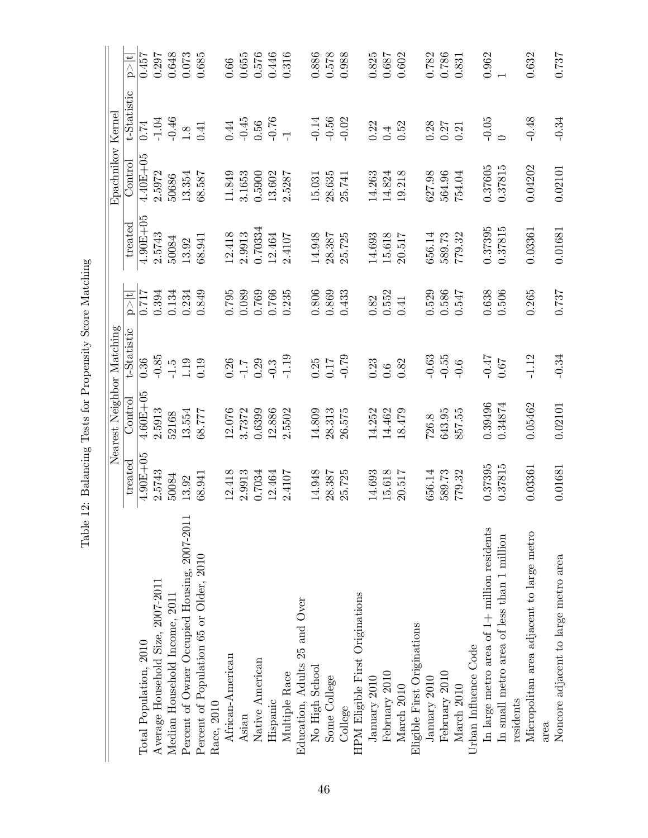|                                               |                          | Nearest Neighbor Matching |             |               |              | Epachnikov Kernel |             |           |
|-----------------------------------------------|--------------------------|---------------------------|-------------|---------------|--------------|-------------------|-------------|-----------|
|                                               | $\operatorname{treated}$ | Control                   | t-Statistic | $\frac{1}{2}$ | treated      | $\rm {Control}$   | t-Statistic | h>∥       |
| Total Population, 2010                        | $4.90E + 05$             | $4.60E + 05$              | 0.36        | 0.717         | $4.90E + 05$ | $4.40E + 05$      | 0.74        | 0.457     |
| Average Household Size, 2007-2011             | 2.5743                   | 2.5913                    | $-0.85$     | 0.394         | 2.5743       | 2.5972            | $-1.04$     | 0.297     |
| Median Household Income, 2011                 | 50084                    | 52168                     | $-1.5$      | 0.134         | 50084        | 50686             | $-0.46$     | 0.648     |
| Percent of Owner Occupied Housing, 2007-201   | 13.92                    | 13.554                    | 1.19        | 0.234         | 13.92        | 13.354            | 1.8         | 0.073     |
| Percent of Population 65 or Older, 2010       | 68.941                   | 68.777                    | 0.19        | 0.849         | 68.941       | 68.587            | 0.41        | 0.685     |
| Race, 2010                                    |                          |                           |             |               |              |                   |             |           |
| African-American                              | 12.418                   | 12.076                    | 0.26        | 0.795         | 12.418       | 11.849            | $0.44\,$    | 0.66      |
| Asian                                         | 2.9913                   | 3.7372                    | $-1.7$      | 0.089         | 2.9913       | 3.1653            | $-0.45$     | $0.655\,$ |
| Native American                               | 0.7034                   | 0.6399                    | 0.29        | 0.769         | 0.70334      | 0.5900            | 0.56        | 0.576     |
| Hispanic                                      | 12.464                   | 12.886                    | $-0.3$      | 0.766         | 12.464       | 13.602            | $-0.76$     | 0.446     |
| Multiple Race                                 | 2.4107                   | 2.5502                    | $-1.19$     | 0.235         | 2.4107       | 2.5287            |             | 0.316     |
| Education, Adults 25 and Over                 |                          |                           |             |               |              |                   |             |           |
| No High School                                | 14.948                   | 14.809                    | 0.25        | 0.806         | 14.948       | 15.031            | $-0.14$     | 0.886     |
| Some College                                  | 28.387                   | 28.313                    | 0.17        | 0.869         | 28.387       | 28.635            | $-0.56$     | 0.578     |
| College                                       | 25.725                   | 26.575                    | $-0.79$     | 0.433         | 25.725       | 25.741            | $-0.02$     | 0.988     |
| HPM Eligible First Originations               |                          |                           |             |               |              |                   |             |           |
| January 2010                                  | 14.693                   | 14.252                    | 0.23        | 0.82          | 14.693       | 14.263            | 0.22        | 0.825     |
| February 2010                                 | 15.618                   | 14.462                    | 0.6         | $0.552\,$     | 15.618       | 14.824            | 0.4         | $0.687\,$ |
| March 2010                                    | 20.517                   | 18.479                    | 0.82        | 0.41          | 20.517       | 19.218            | 0.52        | 0.602     |
| Eligible First Originations                   |                          |                           |             |               |              |                   |             |           |
| January $2010$                                | 356.14                   | 726.8                     | $-0.63$     | 0.529         | 656.14       | 627.98            | 0.28        | 0.782     |
| February 2010                                 | 589.73                   | 643.95                    | $-0.55$     | 0.586         | 589.73       | 564.96            | 0.27        | 0.786     |
| March 2010                                    | 779.32                   | 857.55                    | $-0.6$      | 0.547         | 779.32       | 754.04            | 0.21        | 0.831     |
| Urban Influence Code                          |                          |                           |             |               |              |                   |             |           |
| In large metro area of $1+$ million residents | 0.37395                  | 0.39496                   | $-0.47$     | 0.638         | 0.37395      | 0.37605           | $-0.05$     | 0.962     |
| In small metro area of less than 1 million    | 0.37815                  | 0.34874                   | 0.67        | 0.506         | 0.37815      | 0.37815           |             |           |
| residents                                     |                          |                           |             |               |              |                   |             |           |
| Micropolitan area adjacent to large metro     | 0.03361                  | 0.05462                   | $-1.12$     | 0.265         | 0.03361      | 0.04202           | $-0.48$     | 0.632     |
| area                                          |                          |                           |             |               |              |                   |             |           |
| Noncore adjacent to large metro area          | 0.01681                  | 0.02101                   | $-0.34$     | 0.737         | 0.01681      | 0.02101           | $-0.34$     | 0.737     |

<span id="page-45-0"></span>Table 12: Balancing Tests for Propensity Score Matching Table 12: Balancing Tests for Propensity Score Matching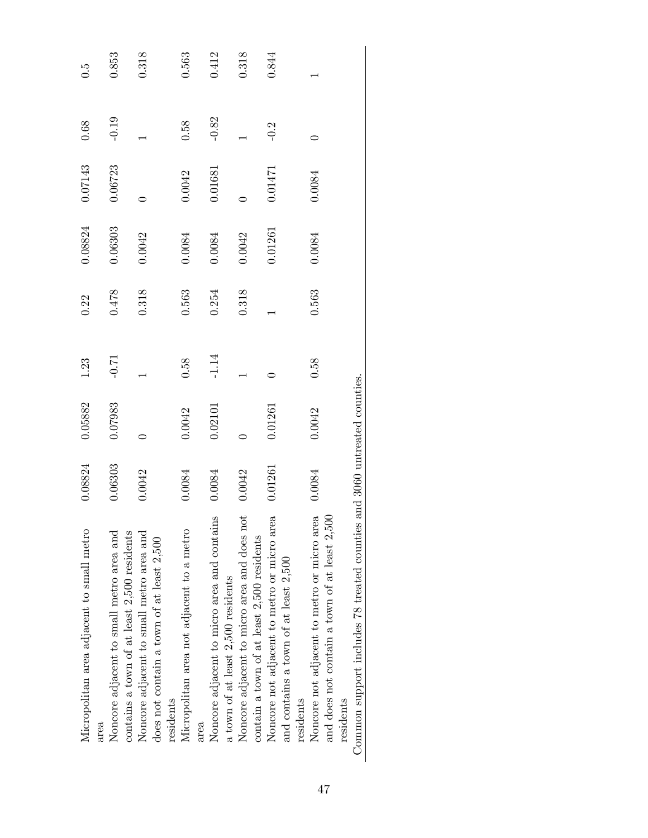| Micropolitan area adjacent to small metro       | 0.8824  | 0.05882                      | 1.23    | 0.22  | 0.08824 | 0.07143 | 0.68    | G.O   |
|-------------------------------------------------|---------|------------------------------|---------|-------|---------|---------|---------|-------|
| area                                            |         |                              |         |       |         |         |         |       |
| Noncore adjacent to small metro area and        | 0.6303  | 0.07983                      | $-0.71$ | 0.478 | 0.6303  | 0.06723 | $-0.19$ | 0.853 |
| contains a town of at least 2,500 residents     |         |                              |         |       |         |         |         |       |
| Noncore adjacent to small metro area and        | 0.0042  |                              |         | 0.318 | 0.0042  |         |         | 0.318 |
| does not contain a town of at least 2,500       |         |                              |         |       |         |         |         |       |
| residents                                       |         |                              |         |       |         |         |         |       |
| Micropolitan area not adjacent to a metro       | 1.0084  | 0.0042                       | 0.58    | 0.563 | 0.0084  | 0.0042  | 0.58    | 0.563 |
| area                                            |         |                              |         |       |         |         |         |       |
| Noncore adjacent to micro area and contains     | 0.0084  | 0.02101                      | $-1.14$ | 0.254 | 0.0084  | 0.01681 | $-0.82$ | 0.412 |
| a town of at least 2,500 residents              |         |                              |         |       |         |         |         |       |
| Noncore adjacent to micro area and does not     | 0.0042  |                              |         | 0.318 | 0.0042  |         |         | 0.318 |
| contain a town of at least 2,500 residents      |         |                              |         |       |         |         |         |       |
| Noncore not adjacent to metro or micro area     | 0.01261 | 0.01261                      |         |       | 0.1261  | 0.01471 | $-0.2$  | 0.844 |
| and contains a town of at least 2,500           |         |                              |         |       |         |         |         |       |
| residents                                       |         |                              |         |       |         |         |         |       |
| Noncore not adjacent to metro or micro area     | 0.0084  | 0.0042                       | 0.58    | 0.563 | 0.0084  | 0.0084  |         |       |
| and does not contain a town of at least $2,500$ |         |                              |         |       |         |         |         |       |
| residents                                       |         |                              |         |       |         |         |         |       |
| Common support includes 78 treated counties     |         | and 3060 untreated counties. |         |       |         |         |         |       |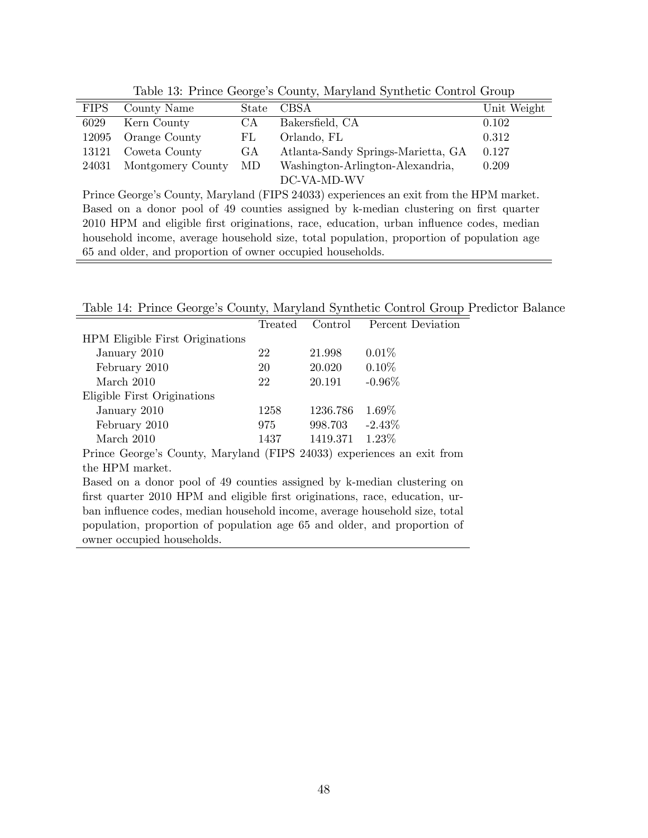| <b>FIPS</b> | County Name       | State | <b>CBSA</b>                        | Unit Weight |
|-------------|-------------------|-------|------------------------------------|-------------|
| 6029        | Kern County       | CА    | Bakersfield, CA                    | 0.102       |
| 12095       | Orange County     | FL.   | Orlando, FL                        | 0.312       |
| 13121       | Coweta County     | GА    | Atlanta-Sandy Springs-Marietta, GA | 0.127       |
| 24031       | Montgomery County | MD.   | Washington-Arlington-Alexandria,   | 0.209       |
|             |                   |       | DC-VA-MD-WV                        |             |

<span id="page-47-0"></span>Table 13: Prince George's County, Maryland Synthetic Control Group

Prince George's County, Maryland (FIPS 24033) experiences an exit from the HPM market. Based on a donor pool of 49 counties assigned by k-median clustering on first quarter 2010 HPM and eligible Örst originations, race, education, urban ináuence codes, median household income, average household size, total population, proportion of population age 65 and older, and proportion of owner occupied households.

Table 14: Prince George's County, Maryland Synthetic Control Group Predictor Balance

<span id="page-47-1"></span>

|                                                                              | Treated | Control  | Percent Deviation |  |  |  |
|------------------------------------------------------------------------------|---------|----------|-------------------|--|--|--|
| <b>HPM</b> Eligible First Originations                                       |         |          |                   |  |  |  |
| January 2010                                                                 | 22      | 21.998   | $0.01\%$          |  |  |  |
| February 2010                                                                | 20      | 20.020   | $0.10\%$          |  |  |  |
| March 2010                                                                   | 22      | 20.191   | $-0.96\%$         |  |  |  |
| Eligible First Originations                                                  |         |          |                   |  |  |  |
| January 2010                                                                 | 1258    | 1236.786 | $1.69\%$          |  |  |  |
| February 2010                                                                | 975     | 998.703  | $-2.43\%$         |  |  |  |
| March 2010                                                                   | 1437    | 1419.371 | $1.23\%$          |  |  |  |
| Prince George's County, Maryland (FIPS 24033) experiences an exit from       |         |          |                   |  |  |  |
| the HPM market.                                                              |         |          |                   |  |  |  |
| Based on a donor pool of 49 counties assigned by k-median clustering on      |         |          |                   |  |  |  |
| first quarter 2010 HPM and eligible first originations, race, education, ur- |         |          |                   |  |  |  |
| ban influence codes, median household income, average household size, total  |         |          |                   |  |  |  |
| population, proportion of population age 65 and older, and proportion of     |         |          |                   |  |  |  |

owner occupied households.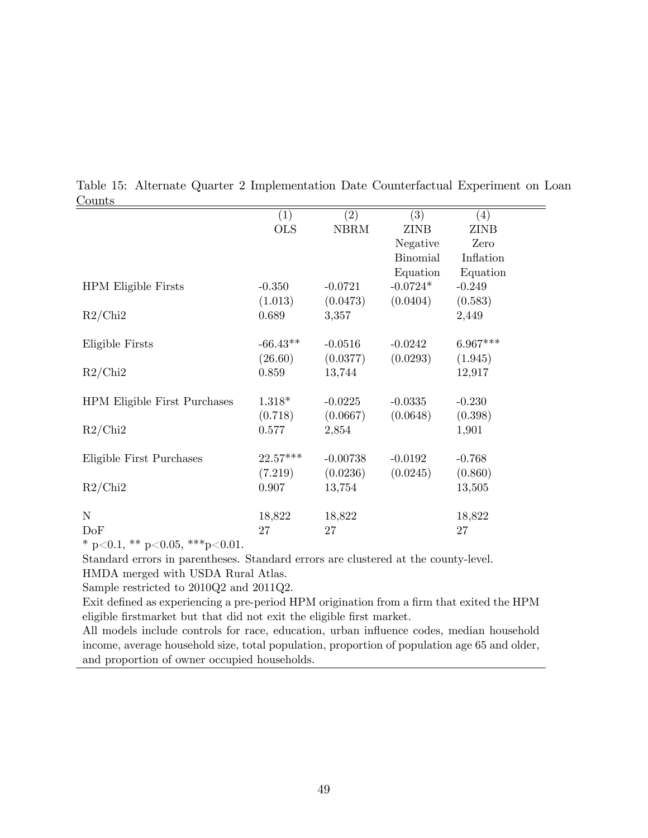| ouliu                               |            |             |                 |             |  |
|-------------------------------------|------------|-------------|-----------------|-------------|--|
|                                     | (1)        | (2)         | (3)             | (4)         |  |
|                                     | <b>OLS</b> | <b>NBRM</b> | <b>ZINB</b>     | <b>ZINB</b> |  |
|                                     |            |             | Negative        | Zero        |  |
|                                     |            |             | <b>Binomial</b> | Inflation   |  |
|                                     |            |             | Equation        | Equation    |  |
| <b>HPM</b> Eligible Firsts          | $-0.350$   | $-0.0721$   | $-0.0724*$      | $-0.249$    |  |
|                                     | (1.013)    | (0.0473)    | (0.0404)        | (0.583)     |  |
| R2/Chi2                             | 0.689      | 3,357       |                 | 2,449       |  |
|                                     |            |             |                 |             |  |
| Eligible Firsts                     | $-66.43**$ | $-0.0516$   | $-0.0242$       | $6.967***$  |  |
|                                     | (26.60)    | (0.0377)    | (0.0293)        | (1.945)     |  |
| R2/Chi2                             | 0.859      | 13,744      |                 | 12,917      |  |
|                                     |            |             |                 |             |  |
| <b>HPM Eligible First Purchases</b> | $1.318*$   | $-0.0225$   | $-0.0335$       | $-0.230$    |  |
|                                     | (0.718)    | (0.0667)    | (0.0648)        | (0.398)     |  |
| R2/Chi2                             | 0.577      | 2,854       |                 | 1,901       |  |
|                                     |            |             |                 |             |  |
| Eligible First Purchases            | $22.57***$ | $-0.00738$  | $-0.0192$       | $-0.768$    |  |
|                                     | (7.219)    | (0.0236)    | (0.0245)        | (0.860)     |  |
| R2/Chi2                             | 0.907      | 13,754      |                 | 13,505      |  |
|                                     |            |             |                 |             |  |
| $\mathbf N$                         | 18,822     | 18,822      |                 | 18,822      |  |
| DoF                                 | 27         |             |                 | 27          |  |
|                                     |            | 27          |                 |             |  |

<span id="page-48-0"></span>Table 15: Alternate Quarter 2 Implementation Date Counterfactual Experiment on Loan Counts  $=$ 

Standard errors in parentheses. Standard errors are clustered at the county-level.

HMDA merged with USDA Rural Atlas.

Sample restricted to 2010Q2 and 2011Q2.

Exit defined as experiencing a pre-period HPM origination from a firm that exited the HPM eligible firstmarket but that did not exit the eligible first market.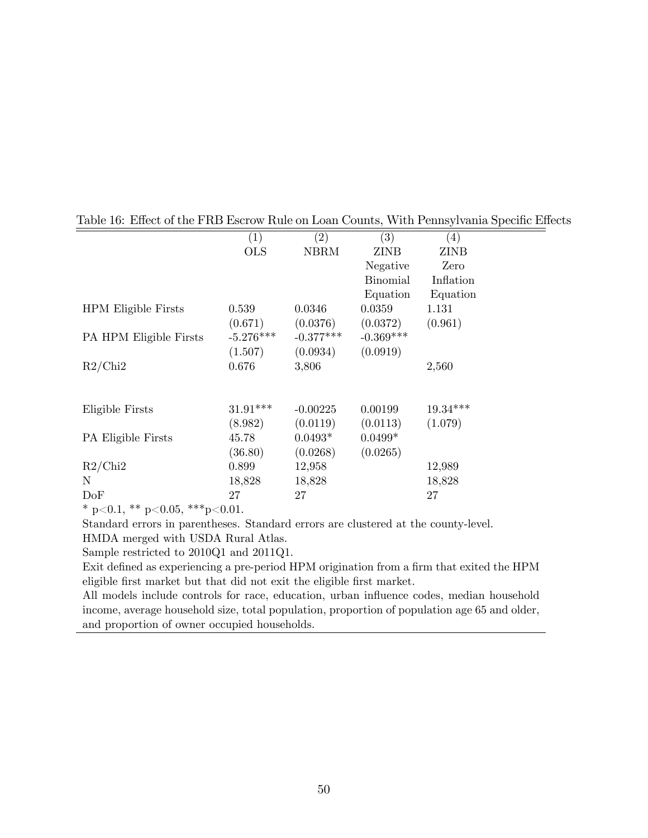|                            | (1)         | $\left( 2\right)$ | (3)             | $\left(4\right)$ |
|----------------------------|-------------|-------------------|-----------------|------------------|
|                            | <b>OLS</b>  | NBRM              | ZINB            | ZINB             |
|                            |             |                   | Negative        | Zero             |
|                            |             |                   | <b>Binomial</b> | Inflation        |
|                            |             |                   | Equation        | Equation         |
| <b>HPM</b> Eligible Firsts | 0.539       | 0.0346            | 0.0359          | 1.131            |
|                            | (0.671)     | (0.0376)          | (0.0372)        | (0.961)          |
| PA HPM Eligible Firsts     | $-5.276***$ | $-0.377***$       | $-0.369***$     |                  |
|                            | (1.507)     | (0.0934)          | (0.0919)        |                  |
| R2/Chi2                    | 0.676       | 3,806             |                 | 2,560            |
|                            |             |                   |                 |                  |
| Eligible Firsts            | $31.91***$  | $-0.00225$        | 0.00199         | $19.34***$       |
|                            | (8.982)     | (0.0119)          | (0.0113)        | (1.079)          |
|                            |             | $0.0493*$         | $0.0499*$       |                  |
| PA Eligible Firsts         | 45.78       |                   |                 |                  |
|                            | (36.80)     | (0.0268)          | (0.0265)        |                  |
| R2/Chi2                    | 0.899       | 12,958            |                 | 12,989           |
| N                          | 18,828      | 18,828            |                 | 18,828           |
| DoF                        | 27          | 27                |                 | 27               |

#### <span id="page-49-0"></span>Table 16: Effect of the FRB Escrow Rule on Loan Counts, With Pennsylvania Specific Effects

\* p<0.1, \*\* p<0.05, \*\*\* p<0.01.

Standard errors in parentheses. Standard errors are clustered at the county-level.

HMDA merged with USDA Rural Atlas.

Sample restricted to 2010Q1 and 2011Q1.

Exit defined as experiencing a pre-period HPM origination from a firm that exited the HPM eligible first market but that did not exit the eligible first market.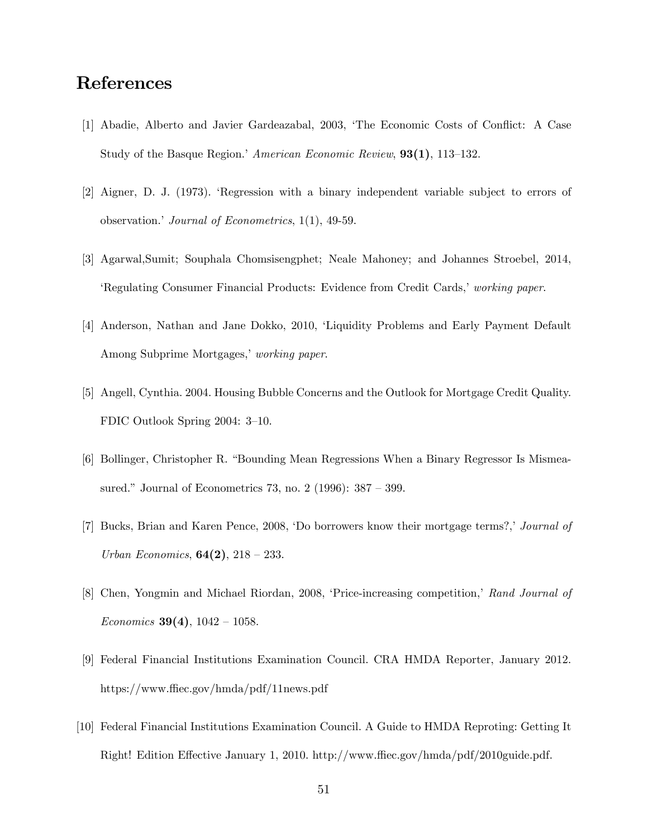## References

- [1] Abadie, Alberto and Javier Gardeazabal, 2003, ëThe Economic Costs of Conáict: A Case Study of the Basque Region.<sup>†</sup> American Economic Review,  $93(1)$ , 113–132.
- [2] Aigner, D. J. (1973). ëRegression with a binary independent variable subject to errors of observation.' Journal of Econometrics,  $1(1)$ , 49-59.
- [3] Agarwal,Sumit; Souphala Chomsisengphet; Neale Mahoney; and Johannes Stroebel, 2014, Executional Consumer Financial Products: Evidence from Credit Cards, *working paper*.
- [4] Anderson, Nathan and Jane Dokko, 2010, ëLiquidity Problems and Early Payment Default Among Subprime Mortgages,' working paper.
- [5] Angell, Cynthia. 2004. Housing Bubble Concerns and the Outlook for Mortgage Credit Quality. FDIC Outlook Spring  $2004: 3-10$ .
- [6] Bollinger, Christopher R. "Bounding Mean Regressions When a Binary Regressor Is Mismeasured." Journal of Econometrics 73, no. 2 (1996):  $387 - 399$ .
- [7] Bucks, Brian and Karen Pence, 2008, 'Do borrowers know their mortgage terms?,' Journal of Urban Economics,  $64(2)$ ,  $218 - 233$ .
- [8] Chen, Yongmin and Michael Riordan, 2008, 'Price-increasing competition,' Rand Journal of Economics 39(4),  $1042 - 1058$ .
- [9] Federal Financial Institutions Examination Council. CRA HMDA Reporter, January 2012. https://www.ffiec.gov/hmda/pdf/11news.pdf
- [10] Federal Financial Institutions Examination Council. A Guide to HMDA Reproting: Getting It Right! Edition Effective January 1, 2010. http://www.ffiec.gov/hmda/pdf/2010guide.pdf.